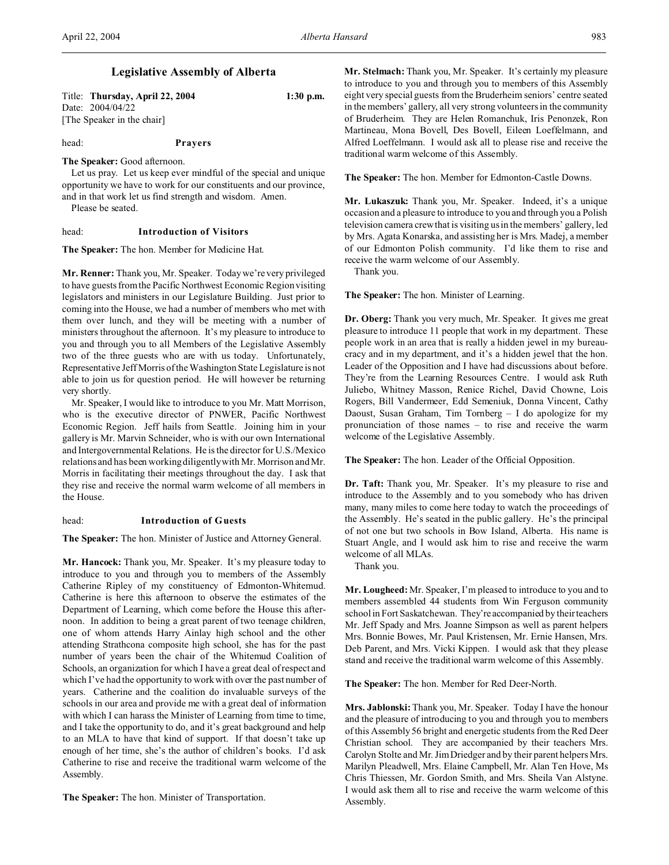# **Legislative Assembly of Alberta**

| Title: Thursday, April 22, 2004 | $1:30$ p.m. |
|---------------------------------|-------------|
| Date: 2004/04/22                |             |
| [The Speaker in the chair]      |             |

# head: **Prayers**

**The Speaker:** Good afternoon.

Let us pray. Let us keep ever mindful of the special and unique opportunity we have to work for our constituents and our province, and in that work let us find strength and wisdom. Amen.

Please be seated.

#### head: **Introduction of Visitors**

**The Speaker:** The hon. Member for Medicine Hat.

**Mr. Renner:** Thank you, Mr. Speaker. Today we're very privileged to have guests from the Pacific Northwest Economic Region visiting legislators and ministers in our Legislature Building. Just prior to coming into the House, we had a number of members who met with them over lunch, and they will be meeting with a number of ministers throughout the afternoon. It's my pleasure to introduce to you and through you to all Members of the Legislative Assembly two of the three guests who are with us today. Unfortunately, Representative Jeff Morris of the Washington State Legislature is not able to join us for question period. He will however be returning very shortly.

Mr. Speaker, I would like to introduce to you Mr. Matt Morrison, who is the executive director of PNWER, Pacific Northwest Economic Region. Jeff hails from Seattle. Joining him in your gallery is Mr. Marvin Schneider, who is with our own International and Intergovernmental Relations. He is the director for U.S./Mexico relations and has been working diligently with Mr. Morrison and Mr. Morris in facilitating their meetings throughout the day. I ask that they rise and receive the normal warm welcome of all members in the House.

## head: **Introduction of Guests**

**The Speaker:** The hon. Minister of Justice and Attorney General.

**Mr. Hancock:** Thank you, Mr. Speaker. It's my pleasure today to introduce to you and through you to members of the Assembly Catherine Ripley of my constituency of Edmonton-Whitemud. Catherine is here this afternoon to observe the estimates of the Department of Learning, which come before the House this afternoon. In addition to being a great parent of two teenage children, one of whom attends Harry Ainlay high school and the other attending Strathcona composite high school, she has for the past number of years been the chair of the Whitemud Coalition of Schools, an organization for which I have a great deal of respect and which I've had the opportunity to work with over the past number of years. Catherine and the coalition do invaluable surveys of the schools in our area and provide me with a great deal of information with which I can harass the Minister of Learning from time to time, and I take the opportunity to do, and it's great background and help to an MLA to have that kind of support. If that doesn't take up enough of her time, she's the author of children's books. I'd ask Catherine to rise and receive the traditional warm welcome of the Assembly.

**The Speaker:** The hon. Minister of Transportation.

**Mr. Stelmach:** Thank you, Mr. Speaker. It's certainly my pleasure to introduce to you and through you to members of this Assembly eight very special guests from the Bruderheim seniors' centre seated in the members' gallery, all very strong volunteers in the community of Bruderheim. They are Helen Romanchuk, Iris Penonzek, Ron Martineau, Mona Bovell, Des Bovell, Eileen Loeffelmann, and Alfred Loeffelmann. I would ask all to please rise and receive the traditional warm welcome of this Assembly.

**The Speaker:** The hon. Member for Edmonton-Castle Downs.

**Mr. Lukaszuk:** Thank you, Mr. Speaker. Indeed, it's a unique occasion and a pleasure to introduce to you and through you a Polish television camera crew that is visiting us in the members' gallery, led by Mrs. Agata Konarska, and assisting her is Mrs. Madej, a member of our Edmonton Polish community. I'd like them to rise and receive the warm welcome of our Assembly.

Thank you.

**The Speaker:** The hon. Minister of Learning.

**Dr. Oberg:** Thank you very much, Mr. Speaker. It gives me great pleasure to introduce 11 people that work in my department. These people work in an area that is really a hidden jewel in my bureaucracy and in my department, and it's a hidden jewel that the hon. Leader of the Opposition and I have had discussions about before. They're from the Learning Resources Centre. I would ask Ruth Juliebo, Whitney Masson, Renice Richel, David Chowne, Lois Rogers, Bill Vandermeer, Edd Semeniuk, Donna Vincent, Cathy Daoust, Susan Graham, Tim Tornberg – I do apologize for my pronunciation of those names – to rise and receive the warm welcome of the Legislative Assembly.

**The Speaker:** The hon. Leader of the Official Opposition.

**Dr. Taft:** Thank you, Mr. Speaker. It's my pleasure to rise and introduce to the Assembly and to you somebody who has driven many, many miles to come here today to watch the proceedings of the Assembly. He's seated in the public gallery. He's the principal of not one but two schools in Bow Island, Alberta. His name is Stuart Angle, and I would ask him to rise and receive the warm welcome of all MLAs.

Thank you.

**Mr. Lougheed:** Mr. Speaker, I'm pleased to introduce to you and to members assembled 44 students from Win Ferguson community school in Fort Saskatchewan. They're accompanied by their teachers Mr. Jeff Spady and Mrs. Joanne Simpson as well as parent helpers Mrs. Bonnie Bowes, Mr. Paul Kristensen, Mr. Ernie Hansen, Mrs. Deb Parent, and Mrs. Vicki Kippen. I would ask that they please stand and receive the traditional warm welcome of this Assembly.

**The Speaker:** The hon. Member for Red Deer-North.

**Mrs. Jablonski:** Thank you, Mr. Speaker. Today I have the honour and the pleasure of introducing to you and through you to members of this Assembly 56 bright and energetic students from the Red Deer Christian school. They are accompanied by their teachers Mrs. Carolyn Stolte and Mr. Jim Driedger and by their parent helpers Mrs. Marilyn Pleadwell, Mrs. Elaine Campbell, Mr. Alan Ten Hove, Ms Chris Thiessen, Mr. Gordon Smith, and Mrs. Sheila Van Alstyne. I would ask them all to rise and receive the warm welcome of this Assembly.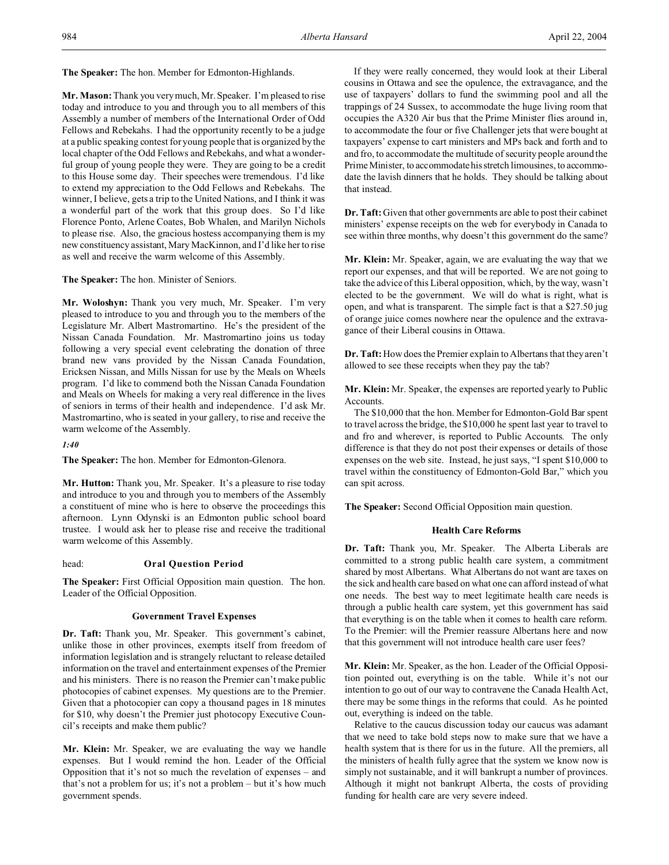**The Speaker:** The hon. Member for Edmonton-Highlands.

**Mr. Mason:** Thank you very much, Mr. Speaker. I'm pleased to rise today and introduce to you and through you to all members of this Assembly a number of members of the International Order of Odd Fellows and Rebekahs. I had the opportunity recently to be a judge at a public speaking contest for young people that is organized by the local chapter of the Odd Fellows and Rebekahs, and what a wonderful group of young people they were. They are going to be a credit to this House some day. Their speeches were tremendous. I'd like to extend my appreciation to the Odd Fellows and Rebekahs. The winner, I believe, gets a trip to the United Nations, and I think it was a wonderful part of the work that this group does. So I'd like Florence Ponto, Arlene Coates, Bob Whalen, and Marilyn Nichols to please rise. Also, the gracious hostess accompanying them is my new constituency assistant, Mary MacKinnon, and I'd like her to rise as well and receive the warm welcome of this Assembly.

**The Speaker:** The hon. Minister of Seniors.

**Mr. Woloshyn:** Thank you very much, Mr. Speaker. I'm very pleased to introduce to you and through you to the members of the Legislature Mr. Albert Mastromartino. He's the president of the Nissan Canada Foundation. Mr. Mastromartino joins us today following a very special event celebrating the donation of three brand new vans provided by the Nissan Canada Foundation, Ericksen Nissan, and Mills Nissan for use by the Meals on Wheels program. I'd like to commend both the Nissan Canada Foundation and Meals on Wheels for making a very real difference in the lives of seniors in terms of their health and independence. I'd ask Mr. Mastromartino, who is seated in your gallery, to rise and receive the warm welcome of the Assembly.

*1:40*

**The Speaker:** The hon. Member for Edmonton-Glenora.

**Mr. Hutton:** Thank you, Mr. Speaker. It's a pleasure to rise today and introduce to you and through you to members of the Assembly a constituent of mine who is here to observe the proceedings this afternoon. Lynn Odynski is an Edmonton public school board trustee. I would ask her to please rise and receive the traditional warm welcome of this Assembly.

# head: **Oral Question Period**

**The Speaker:** First Official Opposition main question. The hon. Leader of the Official Opposition.

#### **Government Travel Expenses**

**Dr. Taft:** Thank you, Mr. Speaker. This government's cabinet, unlike those in other provinces, exempts itself from freedom of information legislation and is strangely reluctant to release detailed information on the travel and entertainment expenses of the Premier and his ministers. There is no reason the Premier can't make public photocopies of cabinet expenses. My questions are to the Premier. Given that a photocopier can copy a thousand pages in 18 minutes for \$10, why doesn't the Premier just photocopy Executive Council's receipts and make them public?

**Mr. Klein:** Mr. Speaker, we are evaluating the way we handle expenses. But I would remind the hon. Leader of the Official Opposition that it's not so much the revelation of expenses – and that's not a problem for us; it's not a problem – but it's how much government spends.

If they were really concerned, they would look at their Liberal cousins in Ottawa and see the opulence, the extravagance, and the use of taxpayers' dollars to fund the swimming pool and all the trappings of 24 Sussex, to accommodate the huge living room that occupies the A320 Air bus that the Prime Minister flies around in, to accommodate the four or five Challenger jets that were bought at taxpayers' expense to cart ministers and MPs back and forth and to and fro, to accommodate the multitude of security people around the Prime Minister, to accommodatehisstretch limousines, to accommodate the lavish dinners that he holds. They should be talking about that instead.

**Dr. Taft:** Given that other governments are able to post their cabinet ministers' expense receipts on the web for everybody in Canada to see within three months, why doesn't this government do the same?

**Mr. Klein:** Mr. Speaker, again, we are evaluating the way that we report our expenses, and that will be reported. We are not going to take the advice of this Liberal opposition, which, by the way, wasn't elected to be the government. We will do what is right, what is open, and what is transparent. The simple fact is that a \$27.50 jug of orange juice comes nowhere near the opulence and the extravagance of their Liberal cousins in Ottawa.

**Dr. Taft:** How does the Premier explain to Albertans that they aren't allowed to see these receipts when they pay the tab?

**Mr. Klein:** Mr. Speaker, the expenses are reported yearly to Public Accounts.

The \$10,000 that the hon. Member for Edmonton-Gold Bar spent to travel across the bridge, the \$10,000 he spent last year to travel to and fro and wherever, is reported to Public Accounts. The only difference is that they do not post their expenses or details of those expenses on the web site. Instead, he just says, "I spent \$10,000 to travel within the constituency of Edmonton-Gold Bar," which you can spit across.

**The Speaker:** Second Official Opposition main question.

#### **Health Care Reforms**

**Dr. Taft:** Thank you, Mr. Speaker. The Alberta Liberals are committed to a strong public health care system, a commitment shared by most Albertans. What Albertans do not want are taxes on the sick and health care based on what one can afford instead of what one needs. The best way to meet legitimate health care needs is through a public health care system, yet this government has said that everything is on the table when it comes to health care reform. To the Premier: will the Premier reassure Albertans here and now that this government will not introduce health care user fees?

**Mr. Klein:** Mr. Speaker, as the hon. Leader of the Official Opposition pointed out, everything is on the table. While it's not our intention to go out of our way to contravene the Canada Health Act, there may be some things in the reforms that could. As he pointed out, everything is indeed on the table.

Relative to the caucus discussion today our caucus was adamant that we need to take bold steps now to make sure that we have a health system that is there for us in the future. All the premiers, all the ministers of health fully agree that the system we know now is simply not sustainable, and it will bankrupt a number of provinces. Although it might not bankrupt Alberta, the costs of providing funding for health care are very severe indeed.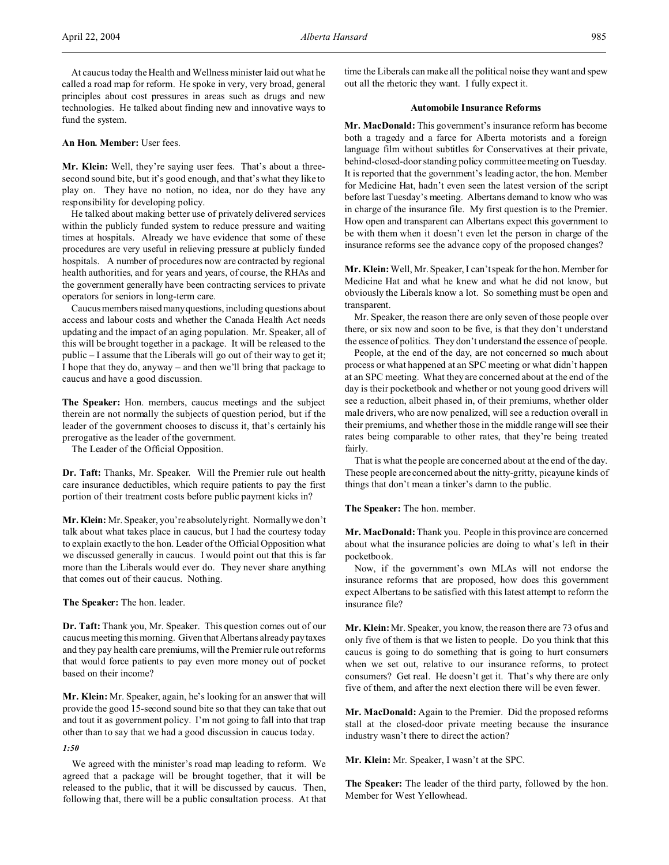At caucus today the Health and Wellness minister laid out what he called a road map for reform. He spoke in very, very broad, general principles about cost pressures in areas such as drugs and new technologies. He talked about finding new and innovative ways to fund the system.

#### **An Hon. Member:** User fees.

**Mr. Klein:** Well, they're saying user fees. That's about a threesecond sound bite, but it's good enough, and that's what they like to play on. They have no notion, no idea, nor do they have any responsibility for developing policy.

He talked about making better use of privately delivered services within the publicly funded system to reduce pressure and waiting times at hospitals. Already we have evidence that some of these procedures are very useful in relieving pressure at publicly funded hospitals. A number of procedures now are contracted by regional health authorities, and for years and years, of course, the RHAs and the government generally have been contracting services to private operators for seniors in long-term care.

Caucus members raisedmanyquestions, including questions about access and labour costs and whether the Canada Health Act needs updating and the impact of an aging population. Mr. Speaker, all of this will be brought together in a package. It will be released to the public – I assume that the Liberals will go out of their way to get it; I hope that they do, anyway – and then we'll bring that package to caucus and have a good discussion.

**The Speaker:** Hon. members, caucus meetings and the subject therein are not normally the subjects of question period, but if the leader of the government chooses to discuss it, that's certainly his prerogative as the leader of the government.

The Leader of the Official Opposition.

**Dr. Taft:** Thanks, Mr. Speaker. Will the Premier rule out health care insurance deductibles, which require patients to pay the first portion of their treatment costs before public payment kicks in?

**Mr. Klein:** Mr. Speaker, you're absolutely right. Normally we don't talk about what takes place in caucus, but I had the courtesy today to explain exactly to the hon. Leader of the Official Opposition what we discussed generally in caucus. I would point out that this is far more than the Liberals would ever do. They never share anything that comes out of their caucus. Nothing.

**The Speaker:** The hon. leader.

**Dr. Taft:** Thank you, Mr. Speaker. This question comes out of our caucus meeting this morning. Given that Albertans already pay taxes and they pay health care premiums, will the Premier rule out reforms that would force patients to pay even more money out of pocket based on their income?

**Mr. Klein:** Mr. Speaker, again, he's looking for an answer that will provide the good 15-second sound bite so that they can take that out and tout it as government policy. I'm not going to fall into that trap other than to say that we had a good discussion in caucus today.

## *1:50*

We agreed with the minister's road map leading to reform. We agreed that a package will be brought together, that it will be released to the public, that it will be discussed by caucus. Then, following that, there will be a public consultation process. At that time the Liberals can make all the political noise they want and spew out all the rhetoric they want. I fully expect it.

#### **Automobile Insurance Reforms**

**Mr. MacDonald:** This government's insurance reform has become both a tragedy and a farce for Alberta motorists and a foreign language film without subtitles for Conservatives at their private, behind-closed-door standing policy committee meeting on Tuesday. It is reported that the government's leading actor, the hon. Member for Medicine Hat, hadn't even seen the latest version of the script before last Tuesday's meeting. Albertans demand to know who was in charge of the insurance file. My first question is to the Premier. How open and transparent can Albertans expect this government to be with them when it doesn't even let the person in charge of the insurance reforms see the advance copy of the proposed changes?

**Mr. Klein:** Well, Mr. Speaker, I can't speak for the hon. Member for Medicine Hat and what he knew and what he did not know, but obviously the Liberals know a lot. So something must be open and transparent.

Mr. Speaker, the reason there are only seven of those people over there, or six now and soon to be five, is that they don't understand the essence of politics. They don't understand the essence of people.

People, at the end of the day, are not concerned so much about process or what happened at an SPC meeting or what didn't happen at an SPC meeting. What they are concerned about at the end of the day is their pocketbook and whether or not young good drivers will see a reduction, albeit phased in, of their premiums, whether older male drivers, who are now penalized, will see a reduction overall in their premiums, and whether those in the middle range will see their rates being comparable to other rates, that they're being treated fairly.

That is what the people are concerned about at the end of the day. These people are concerned about the nitty-gritty, picayune kinds of things that don't mean a tinker's damn to the public.

**The Speaker:** The hon. member.

**Mr. MacDonald:** Thank you. People in this province are concerned about what the insurance policies are doing to what's left in their pocketbook.

Now, if the government's own MLAs will not endorse the insurance reforms that are proposed, how does this government expect Albertans to be satisfied with this latest attempt to reform the insurance file?

**Mr. Klein:** Mr. Speaker, you know, the reason there are 73 of us and only five of them is that we listen to people. Do you think that this caucus is going to do something that is going to hurt consumers when we set out, relative to our insurance reforms, to protect consumers? Get real. He doesn't get it. That's why there are only five of them, and after the next election there will be even fewer.

**Mr. MacDonald:** Again to the Premier. Did the proposed reforms stall at the closed-door private meeting because the insurance industry wasn't there to direct the action?

**Mr. Klein:** Mr. Speaker, I wasn't at the SPC.

**The Speaker:** The leader of the third party, followed by the hon. Member for West Yellowhead.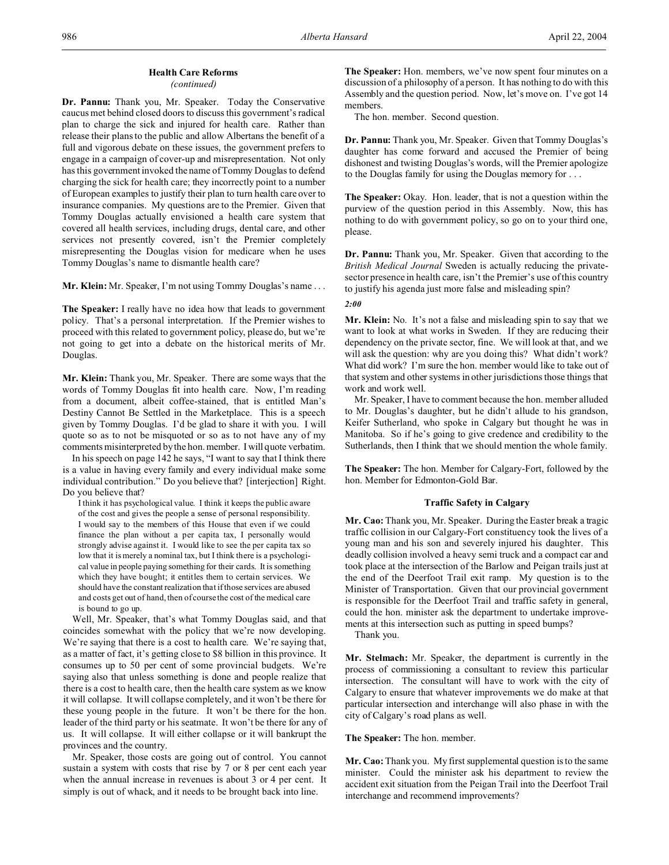# **Health Care Reforms**

*(continued)*

**Dr. Pannu:** Thank you, Mr. Speaker. Today the Conservative caucus met behind closed doors to discuss this government's radical plan to charge the sick and injured for health care. Rather than release their plans to the public and allow Albertans the benefit of a full and vigorous debate on these issues, the government prefers to engage in a campaign of cover-up and misrepresentation. Not only has this government invoked the name of Tommy Douglas to defend charging the sick for health care; they incorrectly point to a number of European examples to justify their plan to turn health care over to insurance companies. My questions are to the Premier. Given that Tommy Douglas actually envisioned a health care system that covered all health services, including drugs, dental care, and other services not presently covered, isn't the Premier completely misrepresenting the Douglas vision for medicare when he uses Tommy Douglas's name to dismantle health care?

**Mr. Klein:** Mr. Speaker, I'm not using Tommy Douglas's name . . .

**The Speaker:** I really have no idea how that leads to government policy. That's a personal interpretation. If the Premier wishes to proceed with this related to government policy, please do, but we're not going to get into a debate on the historical merits of Mr. Douglas.

**Mr. Klein:** Thank you, Mr. Speaker. There are some ways that the words of Tommy Douglas fit into health care. Now, I'm reading from a document, albeit coffee-stained, that is entitled Man's Destiny Cannot Be Settled in the Marketplace. This is a speech given by Tommy Douglas. I'd be glad to share it with you. I will quote so as to not be misquoted or so as to not have any of my comments misinterpreted by the hon. member. I will quote verbatim.

In his speech on page 142 he says, "I want to say that I think there is a value in having every family and every individual make some individual contribution." Do you believe that? [interjection] Right. Do you believe that?

I think it has psychological value. I think it keeps the public aware of the cost and gives the people a sense of personal responsibility. I would say to the members of this House that even if we could finance the plan without a per capita tax, I personally would strongly advise against it. I would like to see the per capita tax so low that it is merely a nominal tax, but I think there is a psychological value in people paying something for their cards. It is something which they have bought; it entitles them to certain services. We should have the constant realization that if those services are abused and costs get out of hand, then of course the cost of the medical care is bound to go up.

Well, Mr. Speaker, that's what Tommy Douglas said, and that coincides somewhat with the policy that we're now developing. We're saying that there is a cost to health care. We're saying that, as a matter of fact, it's getting close to \$8 billion in this province. It consumes up to 50 per cent of some provincial budgets. We're saying also that unless something is done and people realize that there is a cost to health care, then the health care system as we know it will collapse. It will collapse completely, and it won't be there for these young people in the future. It won't be there for the hon. leader of the third party or his seatmate. It won't be there for any of us. It will collapse. It will either collapse or it will bankrupt the provinces and the country.

Mr. Speaker, those costs are going out of control. You cannot sustain a system with costs that rise by 7 or 8 per cent each year when the annual increase in revenues is about 3 or 4 per cent. It simply is out of whack, and it needs to be brought back into line.

**The Speaker:** Hon. members, we've now spent four minutes on a discussion of a philosophy of a person. It has nothing to do with this Assembly and the question period. Now, let's move on. I've got 14 members.

The hon. member. Second question.

**Dr. Pannu:** Thank you, Mr. Speaker. Given that Tommy Douglas's daughter has come forward and accused the Premier of being dishonest and twisting Douglas's words, will the Premier apologize to the Douglas family for using the Douglas memory for . . .

**The Speaker:** Okay. Hon. leader, that is not a question within the purview of the question period in this Assembly. Now, this has nothing to do with government policy, so go on to your third one, please.

**Dr. Pannu:** Thank you, Mr. Speaker. Given that according to the *British Medical Journal* Sweden is actually reducing the privatesector presence in health care, isn't the Premier's use of this country to justify his agenda just more false and misleading spin?

*2:00*

**Mr. Klein:** No. It's not a false and misleading spin to say that we want to look at what works in Sweden. If they are reducing their dependency on the private sector, fine. We will look at that, and we will ask the question: why are you doing this? What didn't work? What did work? I'm sure the hon. member would like to take out of that system and other systems in other jurisdictions those things that work and work well.

Mr. Speaker, I have to comment because the hon. member alluded to Mr. Douglas's daughter, but he didn't allude to his grandson, Keifer Sutherland, who spoke in Calgary but thought he was in Manitoba. So if he's going to give credence and credibility to the Sutherlands, then I think that we should mention the whole family.

**The Speaker:** The hon. Member for Calgary-Fort, followed by the hon. Member for Edmonton-Gold Bar.

# **Traffic Safety in Calgary**

**Mr. Cao:** Thank you, Mr. Speaker. During the Easter break a tragic traffic collision in our Calgary-Fort constituency took the lives of a young man and his son and severely injured his daughter. This deadly collision involved a heavy semi truck and a compact car and took place at the intersection of the Barlow and Peigan trails just at the end of the Deerfoot Trail exit ramp. My question is to the Minister of Transportation. Given that our provincial government is responsible for the Deerfoot Trail and traffic safety in general, could the hon. minister ask the department to undertake improvements at this intersection such as putting in speed bumps?

Thank you.

**Mr. Stelmach:** Mr. Speaker, the department is currently in the process of commissioning a consultant to review this particular intersection. The consultant will have to work with the city of Calgary to ensure that whatever improvements we do make at that particular intersection and interchange will also phase in with the city of Calgary's road plans as well.

**The Speaker:** The hon. member.

**Mr. Cao:** Thank you. My first supplemental question is to the same minister. Could the minister ask his department to review the accident exit situation from the Peigan Trail into the Deerfoot Trail interchange and recommend improvements?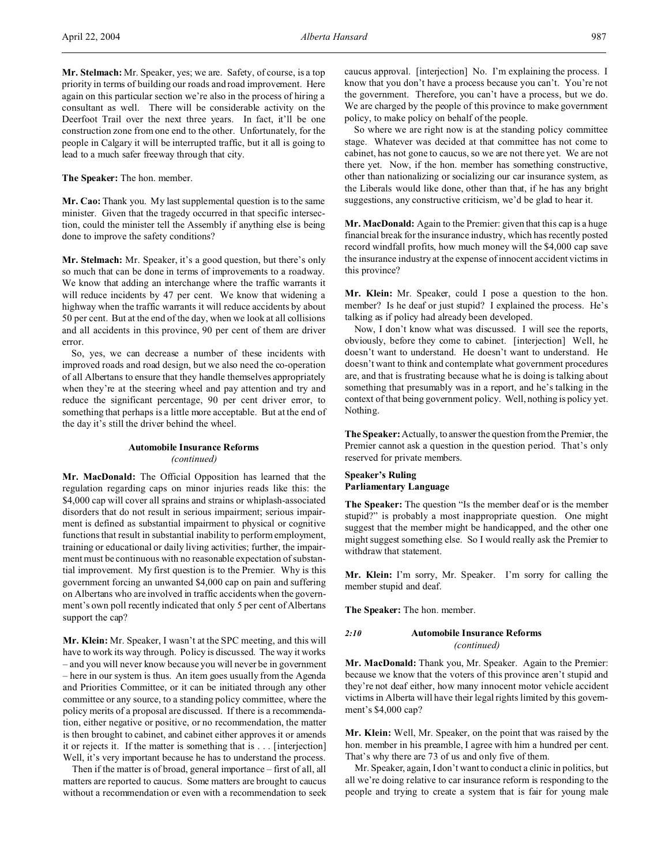**Mr. Stelmach:** Mr. Speaker, yes; we are. Safety, of course, is a top priority in terms of building our roads and road improvement. Here again on this particular section we're also in the process of hiring a consultant as well. There will be considerable activity on the Deerfoot Trail over the next three years. In fact, it'll be one construction zone from one end to the other. Unfortunately, for the people in Calgary it will be interrupted traffic, but it all is going to lead to a much safer freeway through that city.

## **The Speaker:** The hon. member.

**Mr. Cao:** Thank you. My last supplemental question is to the same minister. Given that the tragedy occurred in that specific intersection, could the minister tell the Assembly if anything else is being done to improve the safety conditions?

**Mr. Stelmach:** Mr. Speaker, it's a good question, but there's only so much that can be done in terms of improvements to a roadway. We know that adding an interchange where the traffic warrants it will reduce incidents by 47 per cent. We know that widening a highway when the traffic warrants it will reduce accidents by about 50 per cent. But at the end of the day, when we look at all collisions and all accidents in this province, 90 per cent of them are driver error.

So, yes, we can decrease a number of these incidents with improved roads and road design, but we also need the co-operation of all Albertans to ensure that they handle themselves appropriately when they're at the steering wheel and pay attention and try and reduce the significant percentage, 90 per cent driver error, to something that perhaps is a little more acceptable. But at the end of the day it's still the driver behind the wheel.

# **Automobile Insurance Reforms** *(continued)*

**Mr. MacDonald:** The Official Opposition has learned that the regulation regarding caps on minor injuries reads like this: the \$4,000 cap will cover all sprains and strains or whiplash-associated disorders that do not result in serious impairment; serious impairment is defined as substantial impairment to physical or cognitive functions that result in substantial inability to perform employment, training or educational or daily living activities; further, the impairment must be continuous with no reasonable expectation of substantial improvement. My first question is to the Premier. Why is this government forcing an unwanted \$4,000 cap on pain and suffering on Albertans who are involved in traffic accidents when the government's own poll recently indicated that only 5 per cent of Albertans support the cap?

**Mr. Klein:** Mr. Speaker, I wasn't at the SPC meeting, and this will have to work its way through. Policy is discussed. The way it works – and you will never know because you will never be in government – here in our system is thus. An item goes usually from the Agenda and Priorities Committee, or it can be initiated through any other committee or any source, to a standing policy committee, where the policy merits of a proposal are discussed. If there is a recommendation, either negative or positive, or no recommendation, the matter is then brought to cabinet, and cabinet either approves it or amends it or rejects it. If the matter is something that is . . . [interjection] Well, it's very important because he has to understand the process.

Then if the matter is of broad, general importance – first of all, all matters are reported to caucus. Some matters are brought to caucus without a recommendation or even with a recommendation to seek

caucus approval. [interjection] No. I'm explaining the process. I know that you don't have a process because you can't. You're not the government. Therefore, you can't have a process, but we do. We are charged by the people of this province to make government policy, to make policy on behalf of the people.

So where we are right now is at the standing policy committee stage. Whatever was decided at that committee has not come to cabinet, has not gone to caucus, so we are not there yet. We are not there yet. Now, if the hon. member has something constructive, other than nationalizing or socializing our car insurance system, as the Liberals would like done, other than that, if he has any bright suggestions, any constructive criticism, we'd be glad to hear it.

**Mr. MacDonald:** Again to the Premier: given that this cap is a huge financial break for the insurance industry, which has recently posted record windfall profits, how much money will the \$4,000 cap save the insurance industry at the expense of innocent accident victims in this province?

**Mr. Klein:** Mr. Speaker, could I pose a question to the hon. member? Is he deaf or just stupid? I explained the process. He's talking as if policy had already been developed.

Now, I don't know what was discussed. I will see the reports, obviously, before they come to cabinet. [interjection] Well, he doesn't want to understand. He doesn't want to understand. He doesn't want to think and contemplate what government procedures are, and that is frustrating because what he is doing is talking about something that presumably was in a report, and he's talking in the context of that being government policy. Well, nothing is policy yet. Nothing.

**The Speaker:**Actually, to answer the question from the Premier, the Premier cannot ask a question in the question period. That's only reserved for private members.

# **Speaker's Ruling Parliamentary Language**

**The Speaker:** The question "Is the member deaf or is the member stupid?" is probably a most inappropriate question. One might suggest that the member might be handicapped, and the other one might suggest something else. So I would really ask the Premier to withdraw that statement.

**Mr. Klein:** I'm sorry, Mr. Speaker. I'm sorry for calling the member stupid and deaf.

**The Speaker:** The hon. member.

*2:10* **Automobile Insurance Reforms** *(continued)*

**Mr. MacDonald:** Thank you, Mr. Speaker. Again to the Premier: because we know that the voters of this province aren't stupid and they're not deaf either, how many innocent motor vehicle accident victims in Alberta will have their legal rights limited by this government's \$4,000 cap?

**Mr. Klein:** Well, Mr. Speaker, on the point that was raised by the hon. member in his preamble, I agree with him a hundred per cent. That's why there are 73 of us and only five of them.

Mr. Speaker, again, I don't want to conduct a clinic in politics, but all we're doing relative to car insurance reform is responding to the people and trying to create a system that is fair for young male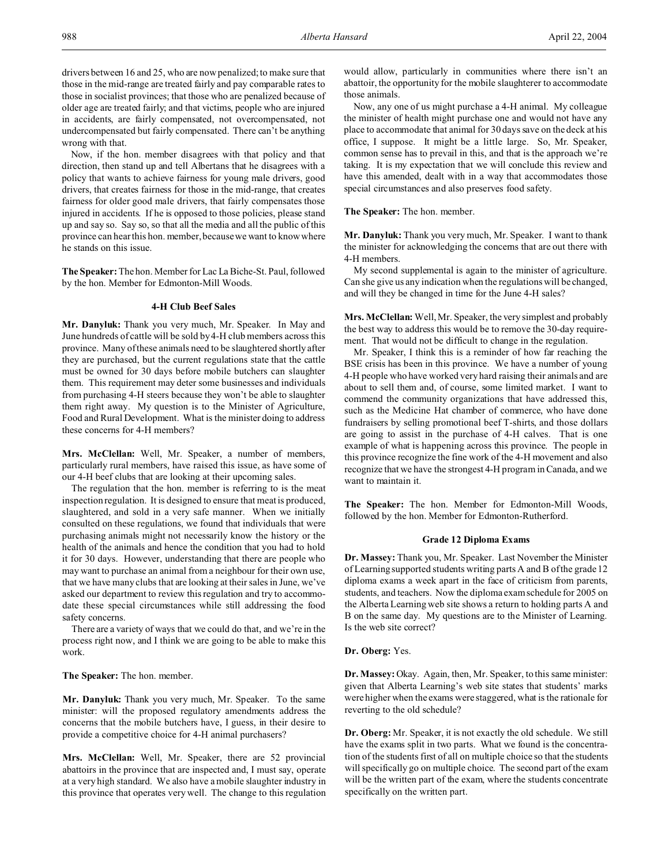drivers between 16 and 25, who are now penalized; to make sure that those in the mid-range are treated fairly and pay comparable rates to those in socialist provinces; that those who are penalized because of older age are treated fairly; and that victims, people who are injured in accidents, are fairly compensated, not overcompensated, not undercompensated but fairly compensated. There can't be anything wrong with that.

Now, if the hon. member disagrees with that policy and that direction, then stand up and tell Albertans that he disagrees with a policy that wants to achieve fairness for young male drivers, good drivers, that creates fairness for those in the mid-range, that creates fairness for older good male drivers, that fairly compensates those injured in accidents. If he is opposed to those policies, please stand up and say so. Say so, so that all the media and all the public of this province can hear this hon. member, because we want to know where he stands on this issue.

**The Speaker:** The hon. Member for Lac La Biche-St. Paul, followed by the hon. Member for Edmonton-Mill Woods.

# **4-H Club Beef Sales**

**Mr. Danyluk:** Thank you very much, Mr. Speaker. In May and June hundreds of cattle will be sold by 4-H club members across this province. Many of these animals need to be slaughtered shortly after they are purchased, but the current regulations state that the cattle must be owned for 30 days before mobile butchers can slaughter them. This requirement may deter some businesses and individuals from purchasing 4-H steers because they won't be able to slaughter them right away. My question is to the Minister of Agriculture, Food and Rural Development. What is the minister doing to address these concerns for 4-H members?

**Mrs. McClellan:** Well, Mr. Speaker, a number of members, particularly rural members, have raised this issue, as have some of our 4-H beef clubs that are looking at their upcoming sales.

The regulation that the hon. member is referring to is the meat inspection regulation. It is designed to ensure that meat is produced, slaughtered, and sold in a very safe manner. When we initially consulted on these regulations, we found that individuals that were purchasing animals might not necessarily know the history or the health of the animals and hence the condition that you had to hold it for 30 days. However, understanding that there are people who may want to purchase an animal from a neighbour for their own use, that we have many clubs that are looking at their sales in June, we've asked our department to review this regulation and try to accommodate these special circumstances while still addressing the food safety concerns.

There are a variety of ways that we could do that, and we're in the process right now, and I think we are going to be able to make this work.

#### **The Speaker:** The hon. member.

**Mr. Danyluk:** Thank you very much, Mr. Speaker. To the same minister: will the proposed regulatory amendments address the concerns that the mobile butchers have, I guess, in their desire to provide a competitive choice for 4-H animal purchasers?

**Mrs. McClellan:** Well, Mr. Speaker, there are 52 provincial abattoirs in the province that are inspected and, I must say, operate at a very high standard. We also have a mobile slaughter industry in this province that operates very well. The change to this regulation would allow, particularly in communities where there isn't an abattoir, the opportunity for the mobile slaughterer to accommodate those animals.

Now, any one of us might purchase a 4-H animal. My colleague the minister of health might purchase one and would not have any place to accommodate that animal for 30 days save on the deck at his office, I suppose. It might be a little large. So, Mr. Speaker, common sense has to prevail in this, and that is the approach we're taking. It is my expectation that we will conclude this review and have this amended, dealt with in a way that accommodates those special circumstances and also preserves food safety.

**The Speaker:** The hon. member.

**Mr. Danyluk:** Thank you very much, Mr. Speaker. I want to thank the minister for acknowledging the concerns that are out there with 4-H members.

My second supplemental is again to the minister of agriculture. Can she give us any indication when the regulations will be changed, and will they be changed in time for the June 4-H sales?

**Mrs. McClellan:** Well, Mr. Speaker, the very simplest and probably the best way to address this would be to remove the 30-day requirement. That would not be difficult to change in the regulation.

Mr. Speaker, I think this is a reminder of how far reaching the BSE crisis has been in this province. We have a number of young 4-H people who have worked very hard raising their animals and are about to sell them and, of course, some limited market. I want to commend the community organizations that have addressed this, such as the Medicine Hat chamber of commerce, who have done fundraisers by selling promotional beef T-shirts, and those dollars are going to assist in the purchase of 4-H calves. That is one example of what is happening across this province. The people in this province recognize the fine work of the 4-H movement and also recognize that we have the strongest 4-H program in Canada, and we want to maintain it.

**The Speaker:** The hon. Member for Edmonton-Mill Woods, followed by the hon. Member for Edmonton-Rutherford.

## **Grade 12 Diploma Exams**

**Dr. Massey:** Thank you, Mr. Speaker. Last November the Minister of Learning supported students writing parts A and B of the grade 12 diploma exams a week apart in the face of criticism from parents, students, and teachers. Now the diploma exam schedule for 2005 on the Alberta Learning web site shows a return to holding parts A and B on the same day. My questions are to the Minister of Learning. Is the web site correct?

#### **Dr. Oberg:** Yes.

**Dr. Massey:** Okay. Again, then, Mr. Speaker, to this same minister: given that Alberta Learning's web site states that students' marks were higher when the exams were staggered, what is the rationale for reverting to the old schedule?

**Dr. Oberg:** Mr. Speaker, it is not exactly the old schedule. We still have the exams split in two parts. What we found is the concentration of the students first of all on multiple choice so that the students will specifically go on multiple choice. The second part of the exam will be the written part of the exam, where the students concentrate specifically on the written part.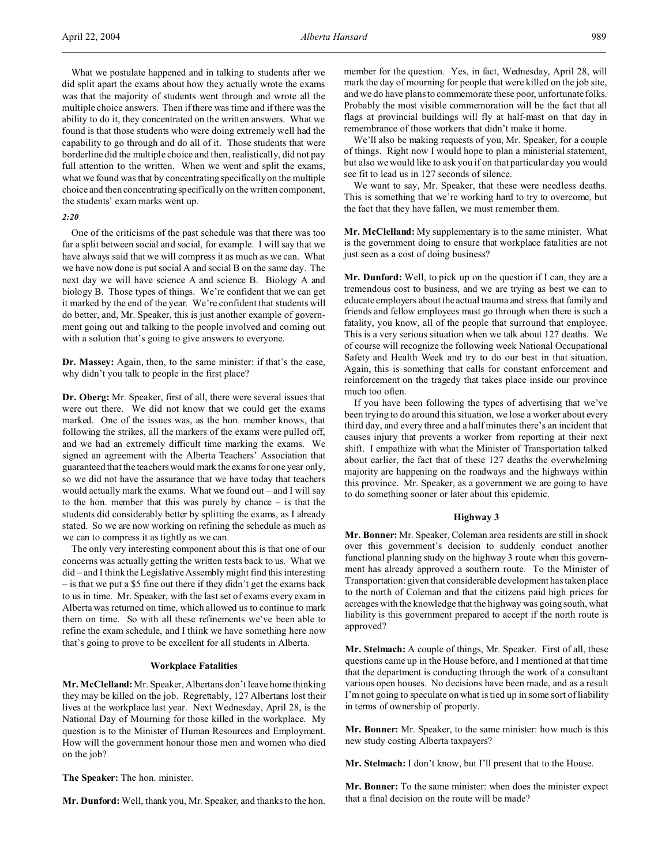What we postulate happened and in talking to students after we did split apart the exams about how they actually wrote the exams was that the majority of students went through and wrote all the multiple choice answers. Then if there was time and if there was the ability to do it, they concentrated on the written answers. What we found is that those students who were doing extremely well had the capability to go through and do all of it. Those students that were borderline did the multiple choice and then, realistically, did not pay full attention to the written. When we went and split the exams, what we found was that by concentrating specifically on the multiple choice and then concentrating specifically on the written component, the students' exam marks went up.

## *2:20*

One of the criticisms of the past schedule was that there was too far a split between social and social, for example. I will say that we have always said that we will compress it as much as we can. What we have now done is put social A and social B on the same day. The next day we will have science A and science B. Biology A and biology B. Those types of things. We're confident that we can get it marked by the end of the year. We're confident that students will do better, and, Mr. Speaker, this is just another example of government going out and talking to the people involved and coming out with a solution that's going to give answers to everyone.

**Dr. Massey:** Again, then, to the same minister: if that's the case, why didn't you talk to people in the first place?

**Dr. Oberg:** Mr. Speaker, first of all, there were several issues that were out there. We did not know that we could get the exams marked. One of the issues was, as the hon. member knows, that following the strikes, all the markers of the exams were pulled off, and we had an extremely difficult time marking the exams. We signed an agreement with the Alberta Teachers' Association that guaranteed that the teachers would mark the exams for one year only, so we did not have the assurance that we have today that teachers would actually mark the exams. What we found out – and I will say to the hon. member that this was purely by chance – is that the students did considerably better by splitting the exams, as I already stated. So we are now working on refining the schedule as much as we can to compress it as tightly as we can.

The only very interesting component about this is that one of our concerns was actually getting the written tests back to us. What we did – and I think the Legislative Assembly might find this interesting – is that we put a \$5 fine out there if they didn't get the exams back to us in time. Mr. Speaker, with the last set of exams every exam in Alberta was returned on time, which allowed us to continue to mark them on time. So with all these refinements we've been able to refine the exam schedule, and I think we have something here now that's going to prove to be excellent for all students in Alberta.

#### **Workplace Fatalities**

**Mr. McClelland:** Mr. Speaker, Albertans don't leave home thinking they may be killed on the job. Regrettably, 127 Albertans lost their lives at the workplace last year. Next Wednesday, April 28, is the National Day of Mourning for those killed in the workplace. My question is to the Minister of Human Resources and Employment. How will the government honour those men and women who died on the job?

**The Speaker:** The hon. minister.

**Mr. Dunford:** Well, thank you, Mr. Speaker, and thanks to the hon.

member for the question. Yes, in fact, Wednesday, April 28, will mark the day of mourning for people that were killed on the job site, and we do have plans to commemorate these poor, unfortunate folks. Probably the most visible commemoration will be the fact that all flags at provincial buildings will fly at half-mast on that day in remembrance of those workers that didn't make it home.

We'll also be making requests of you, Mr. Speaker, for a couple of things. Right now I would hope to plan a ministerial statement, but also we would like to ask you if on that particular day you would see fit to lead us in 127 seconds of silence.

We want to say, Mr. Speaker, that these were needless deaths. This is something that we're working hard to try to overcome, but the fact that they have fallen, we must remember them.

**Mr. McClelland:** My supplementary is to the same minister. What is the government doing to ensure that workplace fatalities are not just seen as a cost of doing business?

**Mr. Dunford:** Well, to pick up on the question if I can, they are a tremendous cost to business, and we are trying as best we can to educate employers about the actual trauma and stress that family and friends and fellow employees must go through when there is such a fatality, you know, all of the people that surround that employee. This is a very serious situation when we talk about 127 deaths. We of course will recognize the following week National Occupational Safety and Health Week and try to do our best in that situation. Again, this is something that calls for constant enforcement and reinforcement on the tragedy that takes place inside our province much too often.

If you have been following the types of advertising that we've been trying to do around this situation, we lose a worker about every third day, and every three and a half minutes there's an incident that causes injury that prevents a worker from reporting at their next shift. I empathize with what the Minister of Transportation talked about earlier, the fact that of these 127 deaths the overwhelming majority are happening on the roadways and the highways within this province. Mr. Speaker, as a government we are going to have to do something sooner or later about this epidemic.

# **Highway 3**

**Mr. Bonner:** Mr. Speaker, Coleman area residents are still in shock over this government's decision to suddenly conduct another functional planning study on the highway 3 route when this government has already approved a southern route. To the Minister of Transportation: given that considerable development has taken place to the north of Coleman and that the citizens paid high prices for acreages with the knowledge that the highway was going south, what liability is this government prepared to accept if the north route is approved?

**Mr. Stelmach:** A couple of things, Mr. Speaker. First of all, these questions came up in the House before, and I mentioned at that time that the department is conducting through the work of a consultant various open houses. No decisions have been made, and as a result I'm not going to speculate on what is tied up in some sort of liability in terms of ownership of property.

**Mr. Bonner:** Mr. Speaker, to the same minister: how much is this new study costing Alberta taxpayers?

**Mr. Stelmach:** I don't know, but I'll present that to the House.

**Mr. Bonner:** To the same minister: when does the minister expect that a final decision on the route will be made?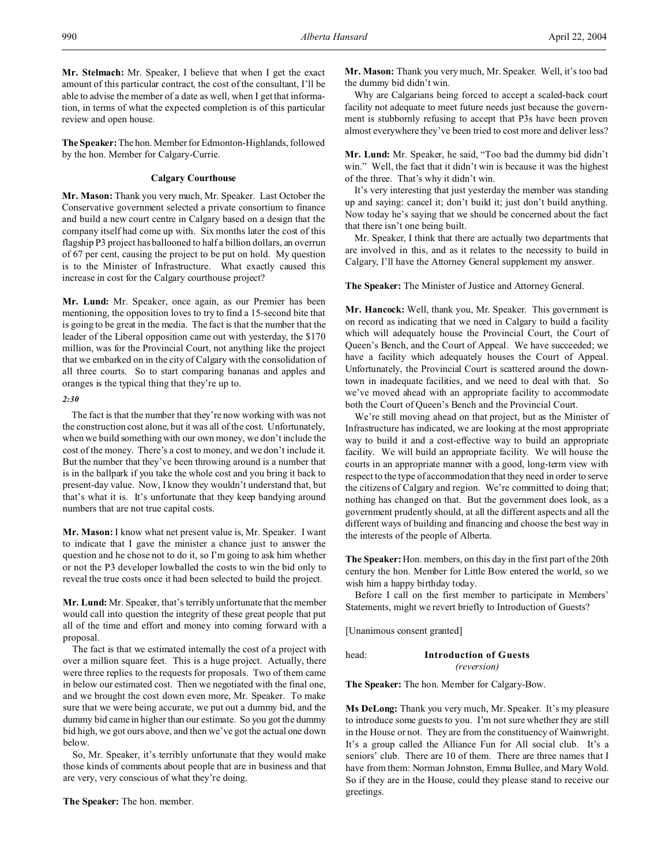**Mr. Stelmach:** Mr. Speaker, I believe that when I get the exact amount of this particular contract, the cost of the consultant, I'll be able to advise the member of a date as well, when I get that information, in terms of what the expected completion is of this particular review and open house.

**The Speaker:** The hon. Member for Edmonton-Highlands, followed by the hon. Member for Calgary-Currie.

## **Calgary Courthouse**

**Mr. Mason:** Thank you very much, Mr. Speaker. Last October the Conservative government selected a private consortium to finance and build a new court centre in Calgary based on a design that the company itself had come up with. Six months later the cost of this flagship P3 project has ballooned to half a billion dollars, an overrun of 67 per cent, causing the project to be put on hold. My question is to the Minister of Infrastructure. What exactly caused this increase in cost for the Calgary courthouse project?

**Mr. Lund:** Mr. Speaker, once again, as our Premier has been mentioning, the opposition loves to try to find a 15-second bite that is going to be great in the media. The fact is that the number that the leader of the Liberal opposition came out with yesterday, the \$170 million, was for the Provincial Court, not anything like the project that we embarked on in the city of Calgary with the consolidation of all three courts. So to start comparing bananas and apples and oranges is the typical thing that they're up to.

#### *2:30*

The fact is that the number that they're now working with was not the construction cost alone, but it was all of the cost. Unfortunately, when we build something with our own money, we don't include the cost of the money. There's a cost to money, and we don't include it. But the number that they've been throwing around is a number that is in the ballpark if you take the whole cost and you bring it back to present-day value. Now, I know they wouldn't understand that, but that's what it is. It's unfortunate that they keep bandying around numbers that are not true capital costs.

**Mr. Mason:** I know what net present value is, Mr. Speaker. I want to indicate that I gave the minister a chance just to answer the question and he chose not to do it, so I'm going to ask him whether or not the P3 developer lowballed the costs to win the bid only to reveal the true costs once it had been selected to build the project.

**Mr. Lund:** Mr. Speaker, that's terribly unfortunate that the member would call into question the integrity of these great people that put all of the time and effort and money into coming forward with a proposal.

The fact is that we estimated internally the cost of a project with over a million square feet. This is a huge project. Actually, there were three replies to the requests for proposals. Two of them came in below our estimated cost. Then we negotiated with the final one, and we brought the cost down even more, Mr. Speaker. To make sure that we were being accurate, we put out a dummy bid, and the dummy bid came in higher than our estimate. So you got the dummy bid high, we got ours above, and then we've got the actual one down below.

So, Mr. Speaker, it's terribly unfortunate that they would make those kinds of comments about people that are in business and that are very, very conscious of what they're doing.

**The Speaker:** The hon. member.

**Mr. Mason:** Thank you very much, Mr. Speaker. Well, it's too bad the dummy bid didn't win.

Why are Calgarians being forced to accept a scaled-back court facility not adequate to meet future needs just because the government is stubbornly refusing to accept that P3s have been proven almost everywhere they've been tried to cost more and deliver less?

**Mr. Lund:** Mr. Speaker, he said, "Too bad the dummy bid didn't win." Well, the fact that it didn't win is because it was the highest of the three. That's why it didn't win.

It's very interesting that just yesterday the member was standing up and saying: cancel it; don't build it; just don't build anything. Now today he's saying that we should be concerned about the fact that there isn't one being built.

Mr. Speaker, I think that there are actually two departments that are involved in this, and as it relates to the necessity to build in Calgary, I'll have the Attorney General supplement my answer.

**The Speaker:** The Minister of Justice and Attorney General.

**Mr. Hancock:** Well, thank you, Mr. Speaker. This government is on record as indicating that we need in Calgary to build a facility which will adequately house the Provincial Court, the Court of Queen's Bench, and the Court of Appeal. We have succeeded; we have a facility which adequately houses the Court of Appeal. Unfortunately, the Provincial Court is scattered around the downtown in inadequate facilities, and we need to deal with that. So we've moved ahead with an appropriate facility to accommodate both the Court of Queen's Bench and the Provincial Court.

We're still moving ahead on that project, but as the Minister of Infrastructure has indicated, we are looking at the most appropriate way to build it and a cost-effective way to build an appropriate facility. We will build an appropriate facility. We will house the courts in an appropriate manner with a good, long-term view with respect to the type of accommodation that they need in order to serve the citizens of Calgary and region. We're committed to doing that; nothing has changed on that. But the government does look, as a government prudently should, at all the different aspects and all the different ways of building and financing and choose the best way in the interests of the people of Alberta.

**The Speaker:**Hon. members, on this day in the first part of the 20th century the hon. Member for Little Bow entered the world, so we wish him a happy birthday today.

Before I call on the first member to participate in Members' Statements, might we revert briefly to Introduction of Guests?

[Unanimous consent granted]

head: **Introduction of Guests** *(reversion)*

**The Speaker:** The hon. Member for Calgary-Bow.

**Ms DeLong:** Thank you very much, Mr. Speaker. It's my pleasure to introduce some guests to you. I'm not sure whether they are still in the House or not. They are from the constituency of Wainwright. It's a group called the Alliance Fun for All social club. It's a seniors' club. There are 10 of them. There are three names that I have from them: Norman Johnston, Emma Bullee, and Mary Wold. So if they are in the House, could they please stand to receive our greetings.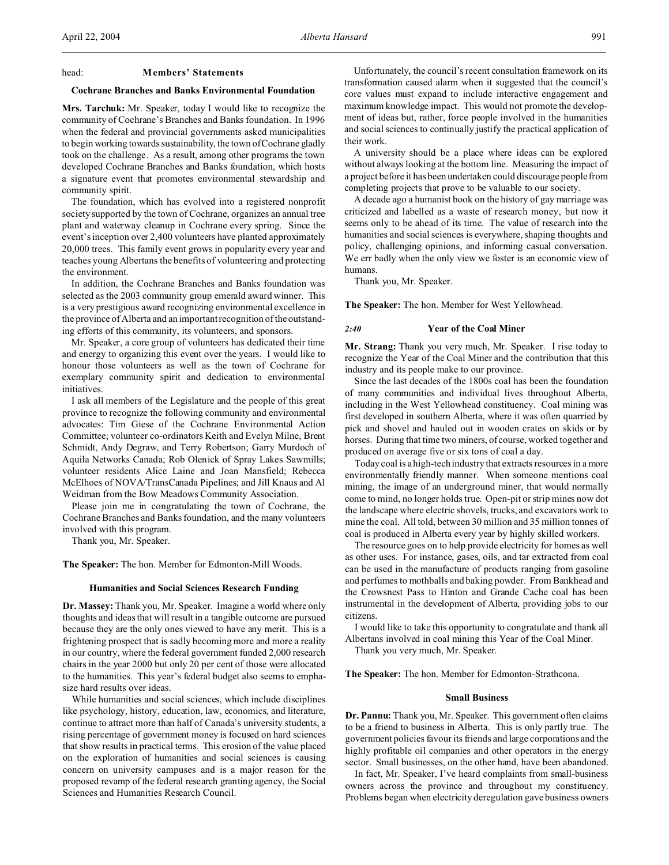## head: **Members' Statements**

#### **Cochrane Branches and Banks Environmental Foundation**

**Mrs. Tarchuk:** Mr. Speaker, today I would like to recognize the community of Cochrane's Branches and Banks foundation. In 1996 when the federal and provincial governments asked municipalities to begin working towards sustainability, the town of Cochrane gladly took on the challenge. As a result, among other programs the town developed Cochrane Branches and Banks foundation, which hosts a signature event that promotes environmental stewardship and community spirit.

The foundation, which has evolved into a registered nonprofit society supported by the town of Cochrane, organizes an annual tree plant and waterway cleanup in Cochrane every spring. Since the event's inception over 2,400 volunteers have planted approximately 20,000 trees. This family event grows in popularity every year and teaches young Albertans the benefits of volunteering and protecting the environment.

In addition, the Cochrane Branches and Banks foundation was selected as the 2003 community group emerald award winner. This is a very prestigious award recognizing environmental excellence in the province of Alberta and an important recognition of the outstanding efforts of this community, its volunteers, and sponsors.

Mr. Speaker, a core group of volunteers has dedicated their time and energy to organizing this event over the years. I would like to honour those volunteers as well as the town of Cochrane for exemplary community spirit and dedication to environmental initiatives.

I ask all members of the Legislature and the people of this great province to recognize the following community and environmental advocates: Tim Giese of the Cochrane Environmental Action Committee; volunteer co-ordinators Keith and Evelyn Milne, Brent Schmidt, Andy Degraw, and Terry Robertson; Garry Murdoch of Aquila Networks Canada; Rob Olenick of Spray Lakes Sawmills; volunteer residents Alice Laine and Joan Mansfield; Rebecca McElhoes of NOVA/TransCanada Pipelines; and Jill Knaus and Al Weidman from the Bow Meadows Community Association.

Please join me in congratulating the town of Cochrane, the Cochrane Branches and Banks foundation, and the many volunteers involved with this program.

Thank you, Mr. Speaker.

**The Speaker:** The hon. Member for Edmonton-Mill Woods.

#### **Humanities and Social Sciences Research Funding**

**Dr. Massey:** Thank you, Mr. Speaker. Imagine a world where only thoughts and ideas that will result in a tangible outcome are pursued because they are the only ones viewed to have any merit. This is a frightening prospect that is sadly becoming more and more a reality in our country, where the federal government funded 2,000 research chairs in the year 2000 but only 20 per cent of those were allocated to the humanities. This year's federal budget also seems to emphasize hard results over ideas.

While humanities and social sciences, which include disciplines like psychology, history, education, law, economics, and literature, continue to attract more than half of Canada's university students, a rising percentage of government money is focused on hard sciences that show results in practical terms. This erosion of the value placed on the exploration of humanities and social sciences is causing concern on university campuses and is a major reason for the proposed revamp of the federal research granting agency, the Social Sciences and Humanities Research Council.

Unfortunately, the council's recent consultation framework on its transformation caused alarm when it suggested that the council's core values must expand to include interactive engagement and maximum knowledge impact. This would not promote the development of ideas but, rather, force people involved in the humanities and social sciences to continually justify the practical application of their work.

A university should be a place where ideas can be explored without always looking at the bottom line. Measuring the impact of a project before it has been undertaken could discourage people from completing projects that prove to be valuable to our society.

A decade ago a humanist book on the history of gay marriage was criticized and labelled as a waste of research money, but now it seems only to be ahead of its time. The value of research into the humanities and social sciences is everywhere, shaping thoughts and policy, challenging opinions, and informing casual conversation. We err badly when the only view we foster is an economic view of humans.

Thank you, Mr. Speaker.

**The Speaker:** The hon. Member for West Yellowhead.

#### *2:40* **Year of the Coal Miner**

**Mr. Strang:** Thank you very much, Mr. Speaker. I rise today to recognize the Year of the Coal Miner and the contribution that this industry and its people make to our province.

Since the last decades of the 1800s coal has been the foundation of many communities and individual lives throughout Alberta, including in the West Yellowhead constituency. Coal mining was first developed in southern Alberta, where it was often quarried by pick and shovel and hauled out in wooden crates on skids or by horses. During that time two miners, of course, worked together and produced on average five or six tons of coal a day.

Today coal is a high-tech industry that extracts resources in a more environmentally friendly manner. When someone mentions coal mining, the image of an underground miner, that would normally come to mind, no longer holds true. Open-pit or strip mines now dot the landscape where electric shovels, trucks, and excavators work to mine the coal. All told, between 30 million and 35 million tonnes of coal is produced in Alberta every year by highly skilled workers.

The resource goes on to help provide electricity for homes as well as other uses. For instance, gases, oils, and tar extracted from coal can be used in the manufacture of products ranging from gasoline and perfumes to mothballs and baking powder. From Bankhead and the Crowsnest Pass to Hinton and Grande Cache coal has been instrumental in the development of Alberta, providing jobs to our citizens.

I would like to take this opportunity to congratulate and thank all Albertans involved in coal mining this Year of the Coal Miner.

Thank you very much, Mr. Speaker.

**The Speaker:** The hon. Member for Edmonton-Strathcona.

#### **Small Business**

**Dr. Pannu:** Thank you, Mr. Speaker. This government often claims to be a friend to business in Alberta. This is only partly true. The government policies favour its friends and large corporations and the highly profitable oil companies and other operators in the energy sector. Small businesses, on the other hand, have been abandoned.

In fact, Mr. Speaker, I've heard complaints from small-business owners across the province and throughout my constituency. Problems began when electricity deregulation gave business owners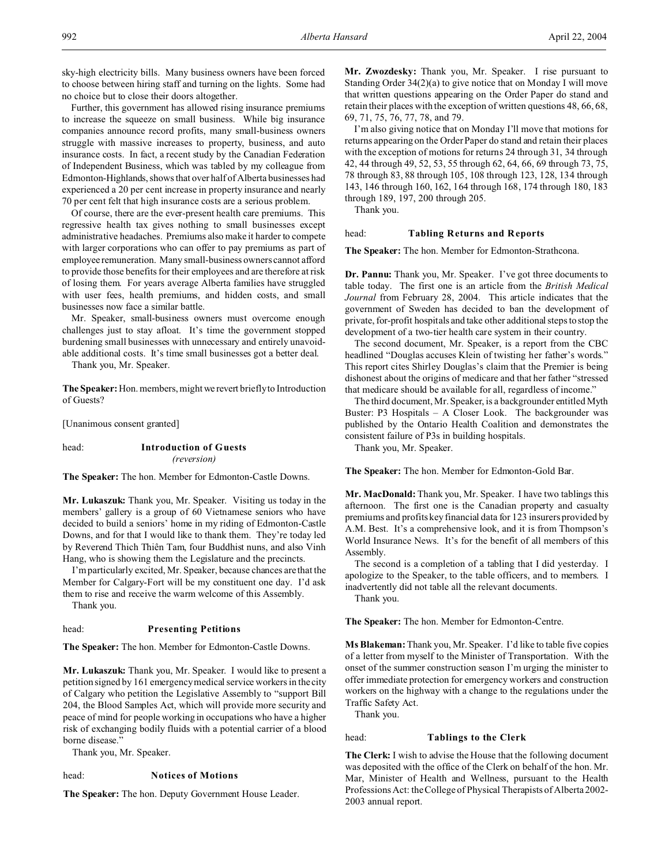sky-high electricity bills. Many business owners have been forced to choose between hiring staff and turning on the lights. Some had no choice but to close their doors altogether.

Further, this government has allowed rising insurance premiums to increase the squeeze on small business. While big insurance companies announce record profits, many small-business owners struggle with massive increases to property, business, and auto insurance costs. In fact, a recent study by the Canadian Federation of Independent Business, which was tabled by my colleague from Edmonton-Highlands, shows that over half of Alberta businesses had experienced a 20 per cent increase in property insurance and nearly 70 per cent felt that high insurance costs are a serious problem.

Of course, there are the ever-present health care premiums. This regressive health tax gives nothing to small businesses except administrative headaches. Premiums also make it harder to compete with larger corporations who can offer to pay premiums as part of employee remuneration. Many small-business owners cannot afford to provide those benefits for their employees and are therefore at risk of losing them. For years average Alberta families have struggled with user fees, health premiums, and hidden costs, and small businesses now face a similar battle.

Mr. Speaker, small-business owners must overcome enough challenges just to stay afloat. It's time the government stopped burdening small businesses with unnecessary and entirely unavoidable additional costs. It's time small businesses got a better deal.

Thank you, Mr. Speaker.

**The Speaker:** Hon. members, might we revert briefly to Introduction of Guests?

[Unanimous consent granted]

## head: **Introduction of Guests** *(reversion)*

**The Speaker:** The hon. Member for Edmonton-Castle Downs.

**Mr. Lukaszuk:** Thank you, Mr. Speaker. Visiting us today in the members' gallery is a group of 60 Vietnamese seniors who have decided to build a seniors' home in my riding of Edmonton-Castle Downs, and for that I would like to thank them. They're today led by Reverend Thich Thiên Tam, four Buddhist nuns, and also Vinh Hang, who is showing them the Legislature and the precincts.

I'm particularly excited, Mr. Speaker, because chances are that the Member for Calgary-Fort will be my constituent one day. I'd ask them to rise and receive the warm welcome of this Assembly.

Thank you.

# head: **Presenting Petitions**

**The Speaker:** The hon. Member for Edmonton-Castle Downs.

**Mr. Lukaszuk:** Thank you, Mr. Speaker. I would like to present a petition signed by 161 emergency medical service workers in the city of Calgary who petition the Legislative Assembly to "support Bill 204, the Blood Samples Act, which will provide more security and peace of mind for people working in occupations who have a higher risk of exchanging bodily fluids with a potential carrier of a blood borne disease."

Thank you, Mr. Speaker.

#### head: **Notices of Motions**

**The Speaker:** The hon. Deputy Government House Leader.

**Mr. Zwozdesky:** Thank you, Mr. Speaker. I rise pursuant to Standing Order 34(2)(a) to give notice that on Monday I will move that written questions appearing on the Order Paper do stand and retain their places with the exception of written questions 48, 66, 68, 69, 71, 75, 76, 77, 78, and 79.

I'm also giving notice that on Monday I'll move that motions for returns appearing on the Order Paper do stand and retain their places with the exception of motions for returns 24 through 31, 34 through 42, 44 through 49, 52, 53, 55 through 62, 64, 66, 69 through 73, 75, 78 through 83, 88 through 105, 108 through 123, 128, 134 through 143, 146 through 160, 162, 164 through 168, 174 through 180, 183 through 189, 197, 200 through 205.

Thank you.

## head: **Tabling Returns and Reports**

**The Speaker:** The hon. Member for Edmonton-Strathcona.

**Dr. Pannu:** Thank you, Mr. Speaker. I've got three documents to table today. The first one is an article from the *British Medical Journal* from February 28, 2004. This article indicates that the government of Sweden has decided to ban the development of private, for-profit hospitals and take other additional steps to stop the development of a two-tier health care system in their country.

The second document, Mr. Speaker, is a report from the CBC headlined "Douglas accuses Klein of twisting her father's words." This report cites Shirley Douglas's claim that the Premier is being dishonest about the origins of medicare and that her father "stressed that medicare should be available for all, regardless of income."

The third document, Mr. Speaker, is a backgrounder entitled Myth Buster: P3 Hospitals – A Closer Look. The backgrounder was published by the Ontario Health Coalition and demonstrates the consistent failure of P3s in building hospitals.

Thank you, Mr. Speaker.

**The Speaker:** The hon. Member for Edmonton-Gold Bar.

**Mr. MacDonald:** Thank you, Mr. Speaker. I have two tablings this afternoon. The first one is the Canadian property and casualty premiums and profits key financial data for 123 insurers provided by A.M. Best. It's a comprehensive look, and it is from Thompson's World Insurance News. It's for the benefit of all members of this Assembly.

The second is a completion of a tabling that I did yesterday. I apologize to the Speaker, to the table officers, and to members. I inadvertently did not table all the relevant documents.

Thank you.

**The Speaker:** The hon. Member for Edmonton-Centre.

**Ms Blakeman:** Thank you, Mr. Speaker. I'd like to table five copies of a letter from myself to the Minister of Transportation. With the onset of the summer construction season I'm urging the minister to offer immediate protection for emergency workers and construction workers on the highway with a change to the regulations under the Traffic Safety Act.

Thank you.

#### head: **Tablings to the Clerk**

**The Clerk:** I wish to advise the House that the following document was deposited with the office of the Clerk on behalf of the hon. Mr. Mar, Minister of Health and Wellness, pursuant to the Health Professions Act: the College of Physical Therapists of Alberta 2002- 2003 annual report.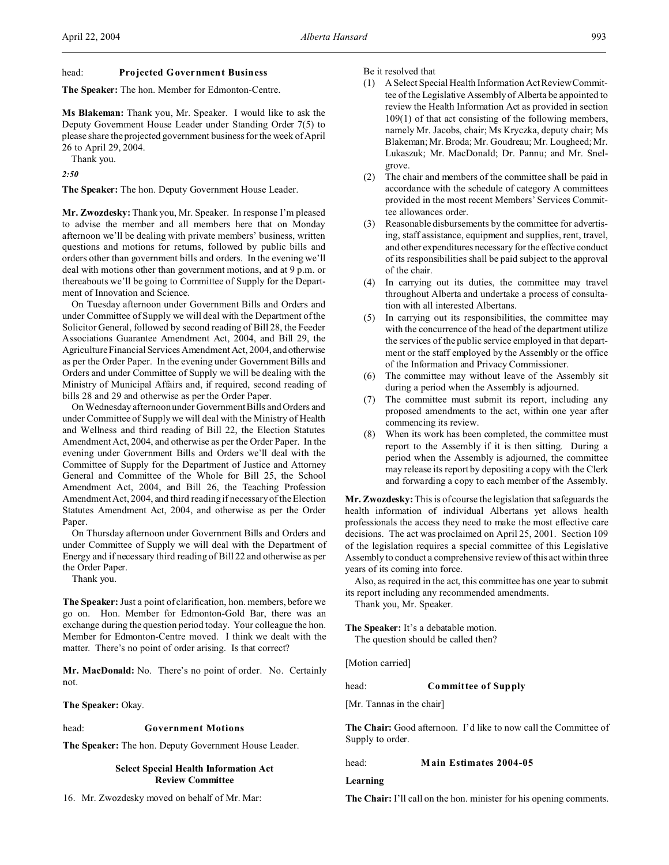## head: **Projected Government Business**

**The Speaker:** The hon. Member for Edmonton-Centre.

**Ms Blakeman:** Thank you, Mr. Speaker. I would like to ask the Deputy Government House Leader under Standing Order 7(5) to please share the projected government business for the week of April 26 to April 29, 2004. Thank you.

*2:50*

**The Speaker:** The hon. Deputy Government House Leader.

**Mr. Zwozdesky:** Thank you, Mr. Speaker. In response I'm pleased to advise the member and all members here that on Monday afternoon we'll be dealing with private members' business, written questions and motions for returns, followed by public bills and orders other than government bills and orders. In the evening we'll deal with motions other than government motions, and at 9 p.m. or thereabouts we'll be going to Committee of Supply for the Department of Innovation and Science.

On Tuesday afternoon under Government Bills and Orders and under Committee of Supply we will deal with the Department of the Solicitor General, followed by second reading of Bill 28, the Feeder Associations Guarantee Amendment Act, 2004, and Bill 29, the Agriculture Financial Services Amendment Act, 2004, and otherwise as per the Order Paper. In the evening under Government Bills and Orders and under Committee of Supply we will be dealing with the Ministry of Municipal Affairs and, if required, second reading of bills 28 and 29 and otherwise as per the Order Paper.

On Wednesday afternoon under Government Bills and Orders and under Committee of Supply we will deal with the Ministry of Health and Wellness and third reading of Bill 22, the Election Statutes Amendment Act, 2004, and otherwise as per the Order Paper. In the evening under Government Bills and Orders we'll deal with the Committee of Supply for the Department of Justice and Attorney General and Committee of the Whole for Bill 25, the School Amendment Act, 2004, and Bill 26, the Teaching Profession Amendment Act, 2004, and third reading if necessary of the Election Statutes Amendment Act, 2004, and otherwise as per the Order Paper.

On Thursday afternoon under Government Bills and Orders and under Committee of Supply we will deal with the Department of Energy and if necessary third reading of Bill 22 and otherwise as per the Order Paper.

Thank you.

**The Speaker:** Just a point of clarification, hon. members, before we go on. Hon. Member for Edmonton-Gold Bar, there was an exchange during the question period today. Your colleague the hon. Member for Edmonton-Centre moved. I think we dealt with the matter. There's no point of order arising. Is that correct?

**Mr. MacDonald:** No. There's no point of order. No. Certainly not.

**The Speaker:** Okay.

#### head: **Government Motions**

**The Speaker:** The hon. Deputy Government House Leader.

# **Select Special Health Information Act Review Committee**

16. Mr. Zwozdesky moved on behalf of Mr. Mar:

Be it resolved that

- (1) A Select Special Health Information Act Review Committee of the Legislative Assembly of Alberta be appointed to review the Health Information Act as provided in section 109(1) of that act consisting of the following members, namely Mr. Jacobs, chair; Ms Kryczka, deputy chair; Ms Blakeman; Mr. Broda; Mr. Goudreau; Mr. Lougheed; Mr. Lukaszuk; Mr. MacDonald; Dr. Pannu; and Mr. Snelgrove.
- (2) The chair and members of the committee shall be paid in accordance with the schedule of category A committees provided in the most recent Members' Services Committee allowances order.
- (3) Reasonable disbursements by the committee for advertising, staff assistance, equipment and supplies, rent, travel, and other expenditures necessary for the effective conduct of its responsibilities shall be paid subject to the approval of the chair.
- (4) In carrying out its duties, the committee may travel throughout Alberta and undertake a process of consultation with all interested Albertans.
- (5) In carrying out its responsibilities, the committee may with the concurrence of the head of the department utilize the services of the public service employed in that department or the staff employed by the Assembly or the office of the Information and Privacy Commissioner.
- (6) The committee may without leave of the Assembly sit during a period when the Assembly is adjourned.
- (7) The committee must submit its report, including any proposed amendments to the act, within one year after commencing its review.
- (8) When its work has been completed, the committee must report to the Assembly if it is then sitting. During a period when the Assembly is adjourned, the committee may release its report by depositing a copy with the Clerk and forwarding a copy to each member of the Assembly.

**Mr. Zwozdesky:** This is of course the legislation that safeguards the health information of individual Albertans yet allows health professionals the access they need to make the most effective care decisions. The act was proclaimed on April 25, 2001. Section 109 of the legislation requires a special committee of this Legislative Assembly to conduct a comprehensive review of this act within three years of its coming into force.

Also, as required in the act, this committee has one year to submit its report including any recommended amendments.

Thank you, Mr. Speaker.

**The Speaker:** It's a debatable motion.

The question should be called then?

[Motion carried]

head: **Committee of Supply**

[Mr. Tannas in the chair]

**The Chair:** Good afternoon. I'd like to now call the Committee of Supply to order.

head: **Main Estimates 2004-05**

## **Learning**

**The Chair:** I'll call on the hon. minister for his opening comments.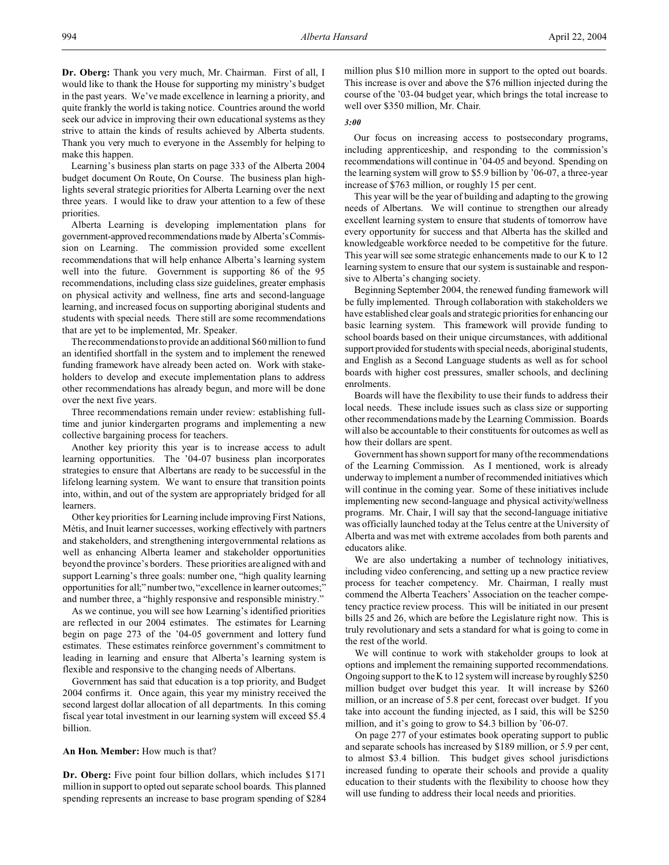**Dr. Oberg:** Thank you very much, Mr. Chairman. First of all, I would like to thank the House for supporting my ministry's budget in the past years. We've made excellence in learning a priority, and quite frankly the world is taking notice. Countries around the world seek our advice in improving their own educational systems as they strive to attain the kinds of results achieved by Alberta students. Thank you very much to everyone in the Assembly for helping to make this happen.

Learning's business plan starts on page 333 of the Alberta 2004 budget document On Route, On Course. The business plan highlights several strategic priorities for Alberta Learning over the next three years. I would like to draw your attention to a few of these priorities.

Alberta Learning is developing implementation plans for government-approved recommendations made by Alberta'sCommission on Learning. The commission provided some excellent recommendations that will help enhance Alberta's learning system well into the future. Government is supporting 86 of the 95 recommendations, including class size guidelines, greater emphasis on physical activity and wellness, fine arts and second-language learning, and increased focus on supporting aboriginal students and students with special needs. There still are some recommendations that are yet to be implemented, Mr. Speaker.

The recommendations to provide an additional \$60 million to fund an identified shortfall in the system and to implement the renewed funding framework have already been acted on. Work with stakeholders to develop and execute implementation plans to address other recommendations has already begun, and more will be done over the next five years.

Three recommendations remain under review: establishing fulltime and junior kindergarten programs and implementing a new collective bargaining process for teachers.

Another key priority this year is to increase access to adult learning opportunities. The '04-07 business plan incorporates strategies to ensure that Albertans are ready to be successful in the lifelong learning system. We want to ensure that transition points into, within, and out of the system are appropriately bridged for all learners.

Other key priorities for Learning include improving First Nations, Métis, and Inuit learner successes, working effectively with partners and stakeholders, and strengthening intergovernmental relations as well as enhancing Alberta learner and stakeholder opportunities beyond the province's borders. These priorities are aligned with and support Learning's three goals: number one, "high quality learning opportunities for all;" number two, "excellence in learner outcomes;" and number three, a "highly responsive and responsible ministry."

As we continue, you will see how Learning's identified priorities are reflected in our 2004 estimates. The estimates for Learning begin on page 273 of the '04-05 government and lottery fund estimates. These estimates reinforce government's commitment to leading in learning and ensure that Alberta's learning system is flexible and responsive to the changing needs of Albertans.

Government has said that education is a top priority, and Budget 2004 confirms it. Once again, this year my ministry received the second largest dollar allocation of all departments. In this coming fiscal year total investment in our learning system will exceed \$5.4 billion.

**An Hon. Member:** How much is that?

**Dr. Oberg:** Five point four billion dollars, which includes \$171 million in support to opted out separate school boards. This planned spending represents an increase to base program spending of \$284 million plus \$10 million more in support to the opted out boards. This increase is over and above the \$76 million injected during the course of the '03-04 budget year, which brings the total increase to well over \$350 million, Mr. Chair.

## *3:00*

Our focus on increasing access to postsecondary programs, including apprenticeship, and responding to the commission's recommendations will continue in '04-05 and beyond. Spending on the learning system will grow to \$5.9 billion by '06-07, a three-year increase of \$763 million, or roughly 15 per cent.

This year will be the year of building and adapting to the growing needs of Albertans. We will continue to strengthen our already excellent learning system to ensure that students of tomorrow have every opportunity for success and that Alberta has the skilled and knowledgeable workforce needed to be competitive for the future. This year will see some strategic enhancements made to our K to 12 learning system to ensure that our system is sustainable and responsive to Alberta's changing society.

Beginning September 2004, the renewed funding framework will be fully implemented. Through collaboration with stakeholders we have established clear goals and strategic priorities for enhancing our basic learning system. This framework will provide funding to school boards based on their unique circumstances, with additional support provided for students with special needs, aboriginal students, and English as a Second Language students as well as for school boards with higher cost pressures, smaller schools, and declining enrolments.

Boards will have the flexibility to use their funds to address their local needs. These include issues such as class size or supporting other recommendations made by the Learning Commission. Boards will also be accountable to their constituents for outcomes as well as how their dollars are spent.

Government has shown support for many of the recommendations of the Learning Commission. As I mentioned, work is already underway to implement a number of recommended initiatives which will continue in the coming year. Some of these initiatives include implementing new second-language and physical activity/wellness programs. Mr. Chair, I will say that the second-language initiative was officially launched today at the Telus centre at the University of Alberta and was met with extreme accolades from both parents and educators alike.

We are also undertaking a number of technology initiatives, including video conferencing, and setting up a new practice review process for teacher competency. Mr. Chairman, I really must commend the Alberta Teachers' Association on the teacher competency practice review process. This will be initiated in our present bills 25 and 26, which are before the Legislature right now. This is truly revolutionary and sets a standard for what is going to come in the rest of the world.

We will continue to work with stakeholder groups to look at options and implement the remaining supported recommendations. Ongoing support to the K to 12 system will increase by roughly \$250 million budget over budget this year. It will increase by \$260 million, or an increase of 5.8 per cent, forecast over budget. If you take into account the funding injected, as I said, this will be \$250 million, and it's going to grow to \$4.3 billion by '06-07.

On page 277 of your estimates book operating support to public and separate schools has increased by \$189 million, or 5.9 per cent, to almost \$3.4 billion. This budget gives school jurisdictions increased funding to operate their schools and provide a quality education to their students with the flexibility to choose how they will use funding to address their local needs and priorities.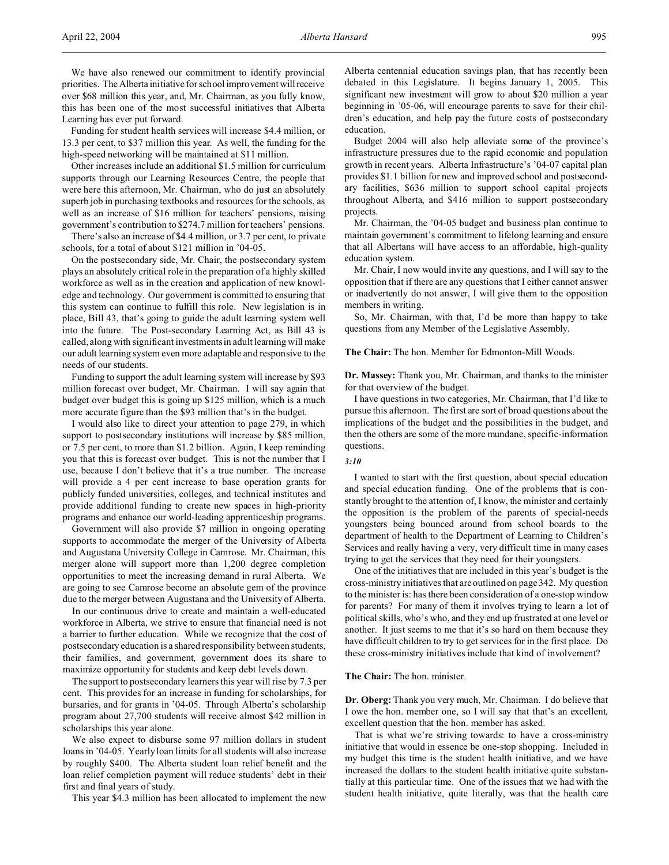Funding for student health services will increase \$4.4 million, or 13.3 per cent, to \$37 million this year. As well, the funding for the high-speed networking will be maintained at \$11 million.

Other increases include an additional \$1.5 million for curriculum supports through our Learning Resources Centre, the people that were here this afternoon, Mr. Chairman, who do just an absolutely superb job in purchasing textbooks and resources for the schools, as well as an increase of \$16 million for teachers' pensions, raising government's contribution to \$274.7 million for teachers' pensions.

There's also an increase of \$4.4 million, or 3.7 per cent, to private schools, for a total of about \$121 million in '04-05.

On the postsecondary side, Mr. Chair, the postsecondary system plays an absolutely critical role in the preparation of a highly skilled workforce as well as in the creation and application of new knowledge and technology. Our government is committed to ensuring that this system can continue to fulfill this role. New legislation is in place, Bill 43, that's going to guide the adult learning system well into the future. The Post-secondary Learning Act, as Bill 43 is called, along with significant investments in adult learning will make our adult learning system even more adaptable and responsive to the needs of our students.

Funding to support the adult learning system will increase by \$93 million forecast over budget, Mr. Chairman. I will say again that budget over budget this is going up \$125 million, which is a much more accurate figure than the \$93 million that's in the budget.

I would also like to direct your attention to page 279, in which support to postsecondary institutions will increase by \$85 million, or 7.5 per cent, to more than \$1.2 billion. Again, I keep reminding you that this is forecast over budget. This is not the number that I use, because I don't believe that it's a true number. The increase will provide a 4 per cent increase to base operation grants for publicly funded universities, colleges, and technical institutes and provide additional funding to create new spaces in high-priority programs and enhance our world-leading apprenticeship programs.

Government will also provide \$7 million in ongoing operating supports to accommodate the merger of the University of Alberta and Augustana University College in Camrose. Mr. Chairman, this merger alone will support more than 1,200 degree completion opportunities to meet the increasing demand in rural Alberta. We are going to see Camrose become an absolute gem of the province due to the merger between Augustana and the University of Alberta.

In our continuous drive to create and maintain a well-educated workforce in Alberta, we strive to ensure that financial need is not a barrier to further education. While we recognize that the cost of postsecondary education is a shared responsibility between students, their families, and government, government does its share to maximize opportunity for students and keep debt levels down.

The support to postsecondary learners this year will rise by 7.3 per cent. This provides for an increase in funding for scholarships, for bursaries, and for grants in '04-05. Through Alberta's scholarship program about 27,700 students will receive almost \$42 million in scholarships this year alone.

We also expect to disburse some 97 million dollars in student loans in '04-05. Yearly loan limits for all students will also increase by roughly \$400. The Alberta student loan relief benefit and the loan relief completion payment will reduce students' debt in their first and final years of study.

This year \$4.3 million has been allocated to implement the new

Alberta centennial education savings plan, that has recently been debated in this Legislature. It begins January 1, 2005. This significant new investment will grow to about \$20 million a year beginning in '05-06, will encourage parents to save for their children's education, and help pay the future costs of postsecondary education.

Budget 2004 will also help alleviate some of the province's infrastructure pressures due to the rapid economic and population growth in recent years. Alberta Infrastructure's '04-07 capital plan provides \$1.1 billion for new and improved school and postsecondary facilities, \$636 million to support school capital projects throughout Alberta, and \$416 million to support postsecondary projects.

Mr. Chairman, the '04-05 budget and business plan continue to maintain government's commitment to lifelong learning and ensure that all Albertans will have access to an affordable, high-quality education system.

Mr. Chair, I now would invite any questions, and I will say to the opposition that if there are any questions that I either cannot answer or inadvertently do not answer, I will give them to the opposition members in writing.

So, Mr. Chairman, with that, I'd be more than happy to take questions from any Member of the Legislative Assembly.

**The Chair:** The hon. Member for Edmonton-Mill Woods.

**Dr. Massey:** Thank you, Mr. Chairman, and thanks to the minister for that overview of the budget.

I have questions in two categories, Mr. Chairman, that I'd like to pursue this afternoon. The first are sort of broad questions about the implications of the budget and the possibilities in the budget, and then the others are some of the more mundane, specific-information questions.

#### *3:10*

I wanted to start with the first question, about special education and special education funding. One of the problems that is constantly brought to the attention of, I know, the minister and certainly the opposition is the problem of the parents of special-needs youngsters being bounced around from school boards to the department of health to the Department of Learning to Children's Services and really having a very, very difficult time in many cases trying to get the services that they need for their youngsters.

One of the initiatives that are included in this year's budget is the cross-ministry initiatives that are outlined on page 342. My question to the minister is: has there been consideration of a one-stop window for parents? For many of them it involves trying to learn a lot of political skills, who's who, and they end up frustrated at one level or another. It just seems to me that it's so hard on them because they have difficult children to try to get services for in the first place. Do these cross-ministry initiatives include that kind of involvement?

## **The Chair:** The hon. minister.

**Dr. Oberg:** Thank you very much, Mr. Chairman. I do believe that I owe the hon. member one, so I will say that that's an excellent, excellent question that the hon. member has asked.

That is what we're striving towards: to have a cross-ministry initiative that would in essence be one-stop shopping. Included in my budget this time is the student health initiative, and we have increased the dollars to the student health initiative quite substantially at this particular time. One of the issues that we had with the student health initiative, quite literally, was that the health care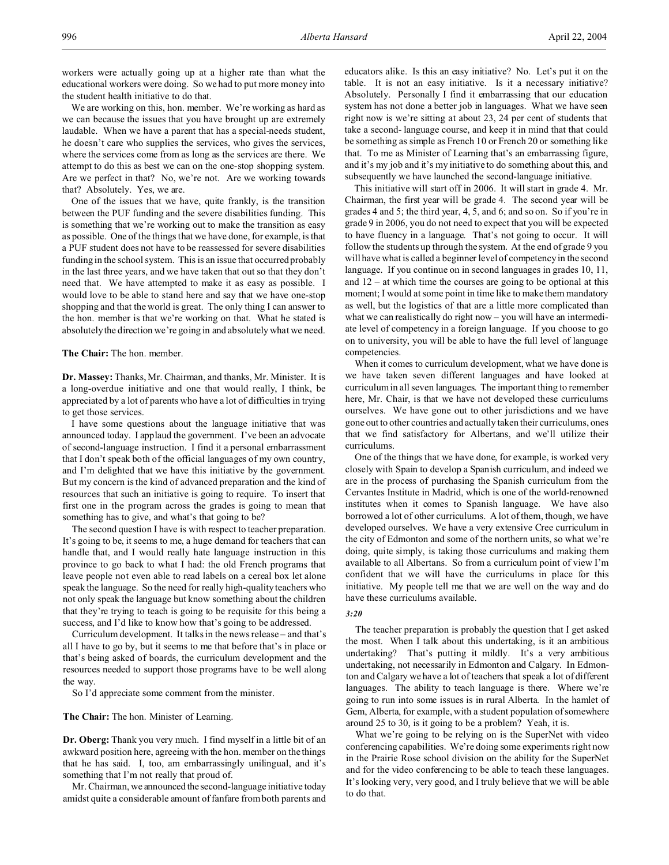workers were actually going up at a higher rate than what the educational workers were doing. So we had to put more money into the student health initiative to do that.

We are working on this, hon. member. We're working as hard as we can because the issues that you have brought up are extremely laudable. When we have a parent that has a special-needs student, he doesn't care who supplies the services, who gives the services, where the services come from as long as the services are there. We attempt to do this as best we can on the one-stop shopping system. Are we perfect in that? No, we're not. Are we working towards that? Absolutely. Yes, we are.

One of the issues that we have, quite frankly, is the transition between the PUF funding and the severe disabilities funding. This is something that we're working out to make the transition as easy as possible. One of the things that we have done, for example, is that a PUF student does not have to be reassessed for severe disabilities funding in the school system. This is an issue that occurred probably in the last three years, and we have taken that out so that they don't need that. We have attempted to make it as easy as possible. I would love to be able to stand here and say that we have one-stop shopping and that the world is great. The only thing I can answer to the hon. member is that we're working on that. What he stated is absolutely the direction we're going in and absolutely what we need.

#### **The Chair:** The hon. member.

**Dr. Massey:** Thanks, Mr. Chairman, and thanks, Mr. Minister. It is a long-overdue initiative and one that would really, I think, be appreciated by a lot of parents who have a lot of difficulties in trying to get those services.

I have some questions about the language initiative that was announced today. I applaud the government. I've been an advocate of second-language instruction. I find it a personal embarrassment that I don't speak both of the official languages of my own country, and I'm delighted that we have this initiative by the government. But my concern is the kind of advanced preparation and the kind of resources that such an initiative is going to require. To insert that first one in the program across the grades is going to mean that something has to give, and what's that going to be?

The second question I have is with respect to teacher preparation. It's going to be, it seems to me, a huge demand for teachers that can handle that, and I would really hate language instruction in this province to go back to what I had: the old French programs that leave people not even able to read labels on a cereal box let alone speak the language. So the need for really high-quality teachers who not only speak the language but know something about the children that they're trying to teach is going to be requisite for this being a success, and I'd like to know how that's going to be addressed.

Curriculum development. It talks in the news release – and that's all I have to go by, but it seems to me that before that's in place or that's being asked of boards, the curriculum development and the resources needed to support those programs have to be well along the way.

So I'd appreciate some comment from the minister.

**The Chair:** The hon. Minister of Learning.

**Dr. Oberg:** Thank you very much. I find myself in a little bit of an awkward position here, agreeing with the hon. member on the things that he has said. I, too, am embarrassingly unilingual, and it's something that I'm not really that proud of.

Mr. Chairman, we announced the second-language initiative today amidst quite a considerable amount of fanfare from both parents and educators alike. Is this an easy initiative? No. Let's put it on the table. It is not an easy initiative. Is it a necessary initiative? Absolutely. Personally I find it embarrassing that our education system has not done a better job in languages. What we have seen right now is we're sitting at about 23, 24 per cent of students that take a second- language course, and keep it in mind that that could be something as simple as French 10 or French 20 or something like that. To me as Minister of Learning that's an embarrassing figure, and it's my job and it's my initiative to do something about this, and subsequently we have launched the second-language initiative.

This initiative will start off in 2006. It will start in grade 4. Mr. Chairman, the first year will be grade 4. The second year will be grades 4 and 5; the third year, 4, 5, and 6; and so on. So if you're in grade 9 in 2006, you do not need to expect that you will be expected to have fluency in a language. That's not going to occur. It will follow the students up through the system. At the end of grade 9 you will have what is called a beginner level of competency in the second language. If you continue on in second languages in grades 10, 11, and 12 – at which time the courses are going to be optional at this moment; I would at some point in time like to make them mandatory as well, but the logistics of that are a little more complicated than what we can realistically do right now – you will have an intermediate level of competency in a foreign language. If you choose to go on to university, you will be able to have the full level of language competencies.

When it comes to curriculum development, what we have done is we have taken seven different languages and have looked at curriculum in all seven languages. The important thing to remember here, Mr. Chair, is that we have not developed these curriculums ourselves. We have gone out to other jurisdictions and we have gone out to other countries and actually taken their curriculums, ones that we find satisfactory for Albertans, and we'll utilize their curriculums.

One of the things that we have done, for example, is worked very closely with Spain to develop a Spanish curriculum, and indeed we are in the process of purchasing the Spanish curriculum from the Cervantes Institute in Madrid, which is one of the world-renowned institutes when it comes to Spanish language. We have also borrowed a lot of other curriculums. A lot of them, though, we have developed ourselves. We have a very extensive Cree curriculum in the city of Edmonton and some of the northern units, so what we're doing, quite simply, is taking those curriculums and making them available to all Albertans. So from a curriculum point of view I'm confident that we will have the curriculums in place for this initiative. My people tell me that we are well on the way and do have these curriculums available.

# *3:20*

The teacher preparation is probably the question that I get asked the most. When I talk about this undertaking, is it an ambitious undertaking? That's putting it mildly. It's a very ambitious undertaking, not necessarily in Edmonton and Calgary. In Edmonton and Calgary we have a lot of teachers that speak a lot of different languages. The ability to teach language is there. Where we're going to run into some issues is in rural Alberta. In the hamlet of Gem, Alberta, for example, with a student population of somewhere around 25 to 30, is it going to be a problem? Yeah, it is.

What we're going to be relying on is the SuperNet with video conferencing capabilities. We're doing some experiments right now in the Prairie Rose school division on the ability for the SuperNet and for the video conferencing to be able to teach these languages. It's looking very, very good, and I truly believe that we will be able to do that.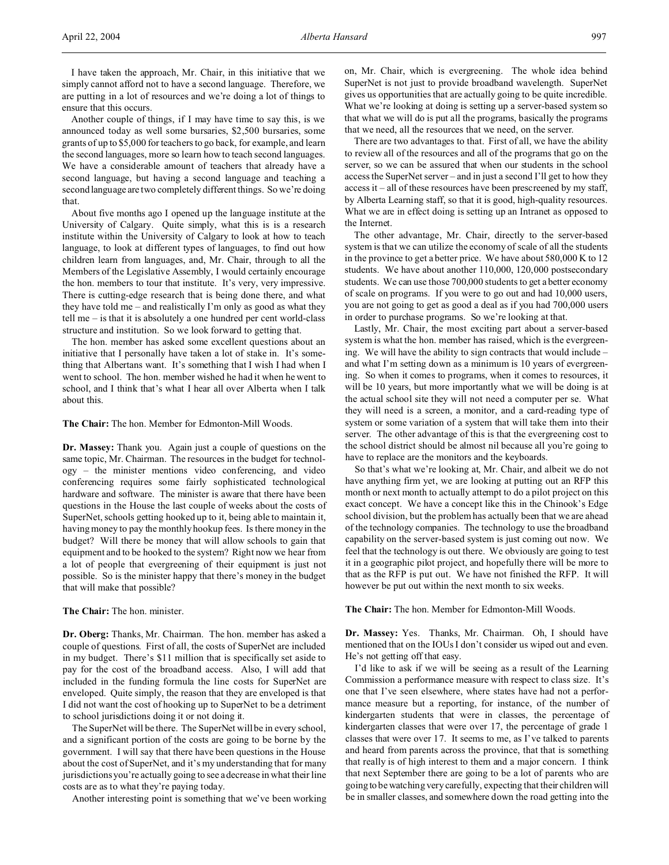I have taken the approach, Mr. Chair, in this initiative that we simply cannot afford not to have a second language. Therefore, we are putting in a lot of resources and we're doing a lot of things to ensure that this occurs.

Another couple of things, if I may have time to say this, is we announced today as well some bursaries, \$2,500 bursaries, some grants of up to \$5,000 for teachers to go back, for example, and learn the second languages, more so learn how to teach second languages. We have a considerable amount of teachers that already have a second language, but having a second language and teaching a second language are two completely different things. So we're doing that.

About five months ago I opened up the language institute at the University of Calgary. Quite simply, what this is is a research institute within the University of Calgary to look at how to teach language, to look at different types of languages, to find out how children learn from languages, and, Mr. Chair, through to all the Members of the Legislative Assembly, I would certainly encourage the hon. members to tour that institute. It's very, very impressive. There is cutting-edge research that is being done there, and what they have told me – and realistically I'm only as good as what they tell me – is that it is absolutely a one hundred per cent world-class structure and institution. So we look forward to getting that.

The hon. member has asked some excellent questions about an initiative that I personally have taken a lot of stake in. It's something that Albertans want. It's something that I wish I had when I went to school. The hon. member wished he had it when he went to school, and I think that's what I hear all over Alberta when I talk about this.

**The Chair:** The hon. Member for Edmonton-Mill Woods.

**Dr. Massey:** Thank you. Again just a couple of questions on the same topic, Mr. Chairman. The resources in the budget for technology – the minister mentions video conferencing, and video conferencing requires some fairly sophisticated technological hardware and software. The minister is aware that there have been questions in the House the last couple of weeks about the costs of SuperNet, schools getting hooked up to it, being able to maintain it, having money to pay the monthly hookup fees. Is there money in the budget? Will there be money that will allow schools to gain that equipment and to be hooked to the system? Right now we hear from a lot of people that evergreening of their equipment is just not possible. So is the minister happy that there's money in the budget that will make that possible?

**The Chair:** The hon. minister.

**Dr. Oberg:** Thanks, Mr. Chairman. The hon. member has asked a couple of questions. First of all, the costs of SuperNet are included in my budget. There's \$11 million that is specifically set aside to pay for the cost of the broadband access. Also, I will add that included in the funding formula the line costs for SuperNet are enveloped. Quite simply, the reason that they are enveloped is that I did not want the cost of hooking up to SuperNet to be a detriment to school jurisdictions doing it or not doing it.

The SuperNet will be there. The SuperNet will be in every school, and a significant portion of the costs are going to be borne by the government. I will say that there have been questions in the House about the cost of SuperNet, and it's my understanding that for many jurisdictions you're actually going to see a decrease in what their line costs are as to what they're paying today.

Another interesting point is something that we've been working

on, Mr. Chair, which is evergreening. The whole idea behind SuperNet is not just to provide broadband wavelength. SuperNet gives us opportunities that are actually going to be quite incredible. What we're looking at doing is setting up a server-based system so that what we will do is put all the programs, basically the programs that we need, all the resources that we need, on the server.

There are two advantages to that. First of all, we have the ability to review all of the resources and all of the programs that go on the server, so we can be assured that when our students in the school access the SuperNet server – and in just a second I'll get to how they access it – all of these resources have been prescreened by my staff, by Alberta Learning staff, so that it is good, high-quality resources. What we are in effect doing is setting up an Intranet as opposed to the Internet.

The other advantage, Mr. Chair, directly to the server-based system is that we can utilize the economy of scale of all the students in the province to get a better price. We have about 580,000 K to 12 students. We have about another 110,000, 120,000 postsecondary students. We can use those 700,000 students to get a better economy of scale on programs. If you were to go out and had 10,000 users, you are not going to get as good a deal as if you had 700,000 users in order to purchase programs. So we're looking at that.

Lastly, Mr. Chair, the most exciting part about a server-based system is what the hon. member has raised, which is the evergreening. We will have the ability to sign contracts that would include – and what I'm setting down as a minimum is 10 years of evergreening. So when it comes to programs, when it comes to resources, it will be 10 years, but more importantly what we will be doing is at the actual school site they will not need a computer per se. What they will need is a screen, a monitor, and a card-reading type of system or some variation of a system that will take them into their server. The other advantage of this is that the evergreening cost to the school district should be almost nil because all you're going to have to replace are the monitors and the keyboards.

So that's what we're looking at, Mr. Chair, and albeit we do not have anything firm yet, we are looking at putting out an RFP this month or next month to actually attempt to do a pilot project on this exact concept. We have a concept like this in the Chinook's Edge school division, but the problem has actually been that we are ahead of the technology companies. The technology to use the broadband capability on the server-based system is just coming out now. We feel that the technology is out there. We obviously are going to test it in a geographic pilot project, and hopefully there will be more to that as the RFP is put out. We have not finished the RFP. It will however be put out within the next month to six weeks.

**The Chair:** The hon. Member for Edmonton-Mill Woods.

**Dr. Massey:** Yes. Thanks, Mr. Chairman. Oh, I should have mentioned that on the IOUs I don't consider us wiped out and even. He's not getting off that easy.

I'd like to ask if we will be seeing as a result of the Learning Commission a performance measure with respect to class size. It's one that I've seen elsewhere, where states have had not a performance measure but a reporting, for instance, of the number of kindergarten students that were in classes, the percentage of kindergarten classes that were over 17, the percentage of grade 1 classes that were over 17. It seems to me, as I've talked to parents and heard from parents across the province, that that is something that really is of high interest to them and a major concern. I think that next September there are going to be a lot of parents who are going to be watching very carefully, expecting that their children will be in smaller classes, and somewhere down the road getting into the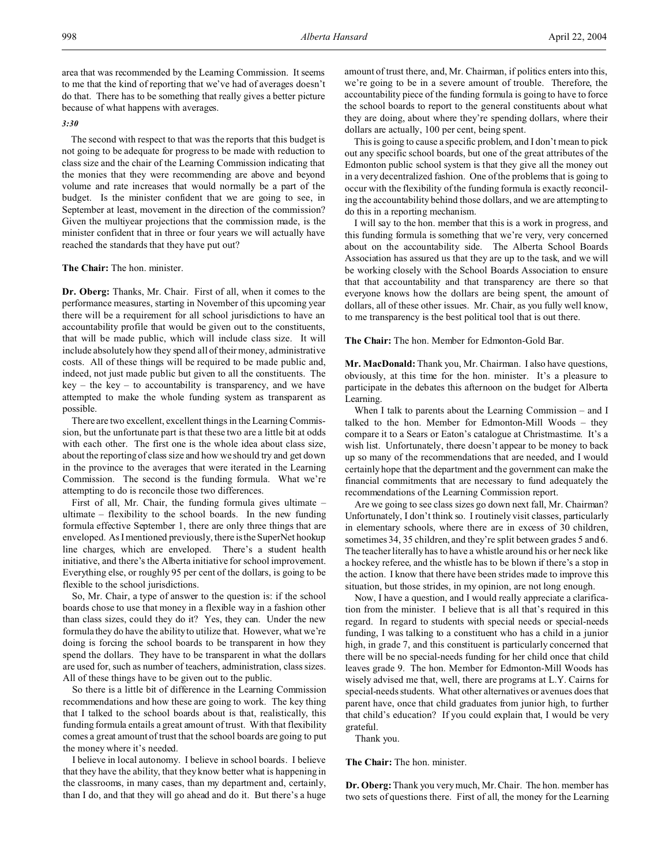area that was recommended by the Learning Commission. It seems to me that the kind of reporting that we've had of averages doesn't do that. There has to be something that really gives a better picture because of what happens with averages.

## *3:30*

The second with respect to that was the reports that this budget is not going to be adequate for progress to be made with reduction to class size and the chair of the Learning Commission indicating that the monies that they were recommending are above and beyond volume and rate increases that would normally be a part of the budget. Is the minister confident that we are going to see, in September at least, movement in the direction of the commission? Given the multiyear projections that the commission made, is the minister confident that in three or four years we will actually have reached the standards that they have put out?

#### **The Chair:** The hon. minister.

**Dr. Oberg:** Thanks, Mr. Chair. First of all, when it comes to the performance measures, starting in November of this upcoming year there will be a requirement for all school jurisdictions to have an accountability profile that would be given out to the constituents, that will be made public, which will include class size. It will include absolutely how they spend all of their money, administrative costs. All of these things will be required to be made public and, indeed, not just made public but given to all the constituents. The  $key - the key - to accountability is transparency, and we have$ attempted to make the whole funding system as transparent as possible.

There are two excellent, excellent things in the Learning Commission, but the unfortunate part is that these two are a little bit at odds with each other. The first one is the whole idea about class size, about the reporting of class size and how we should try and get down in the province to the averages that were iterated in the Learning Commission. The second is the funding formula. What we're attempting to do is reconcile those two differences.

First of all, Mr. Chair, the funding formula gives ultimate – ultimate – flexibility to the school boards. In the new funding formula effective September 1, there are only three things that are enveloped. As I mentioned previously, there is the SuperNet hookup line charges, which are enveloped. There's a student health initiative, and there's the Alberta initiative for school improvement. Everything else, or roughly 95 per cent of the dollars, is going to be flexible to the school jurisdictions.

So, Mr. Chair, a type of answer to the question is: if the school boards chose to use that money in a flexible way in a fashion other than class sizes, could they do it? Yes, they can. Under the new formula they do have the ability to utilize that. However, what we're doing is forcing the school boards to be transparent in how they spend the dollars. They have to be transparent in what the dollars are used for, such as number of teachers, administration, class sizes. All of these things have to be given out to the public.

So there is a little bit of difference in the Learning Commission recommendations and how these are going to work. The key thing that I talked to the school boards about is that, realistically, this funding formula entails a great amount of trust. With that flexibility comes a great amount of trust that the school boards are going to put the money where it's needed.

I believe in local autonomy. I believe in school boards. I believe that they have the ability, that they know better what is happening in the classrooms, in many cases, than my department and, certainly, than I do, and that they will go ahead and do it. But there's a huge

amount of trust there, and, Mr. Chairman, if politics enters into this, we're going to be in a severe amount of trouble. Therefore, the accountability piece of the funding formula is going to have to force the school boards to report to the general constituents about what they are doing, about where they're spending dollars, where their dollars are actually, 100 per cent, being spent.

This is going to cause a specific problem, and I don't mean to pick out any specific school boards, but one of the great attributes of the Edmonton public school system is that they give all the money out in a very decentralized fashion. One of the problems that is going to occur with the flexibility of the funding formula is exactly reconciling the accountability behind those dollars, and we are attempting to do this in a reporting mechanism.

I will say to the hon. member that this is a work in progress, and this funding formula is something that we're very, very concerned about on the accountability side. The Alberta School Boards Association has assured us that they are up to the task, and we will be working closely with the School Boards Association to ensure that that accountability and that transparency are there so that everyone knows how the dollars are being spent, the amount of dollars, all of these other issues. Mr. Chair, as you fully well know, to me transparency is the best political tool that is out there.

**The Chair:** The hon. Member for Edmonton-Gold Bar.

**Mr. MacDonald:** Thank you, Mr. Chairman. I also have questions, obviously, at this time for the hon. minister. It's a pleasure to participate in the debates this afternoon on the budget for Alberta Learning.

When I talk to parents about the Learning Commission – and I talked to the hon. Member for Edmonton-Mill Woods – they compare it to a Sears or Eaton's catalogue at Christmastime. It's a wish list. Unfortunately, there doesn't appear to be money to back up so many of the recommendations that are needed, and I would certainly hope that the department and the government can make the financial commitments that are necessary to fund adequately the recommendations of the Learning Commission report.

Are we going to see class sizes go down next fall, Mr. Chairman? Unfortunately, I don't think so. I routinely visit classes, particularly in elementary schools, where there are in excess of 30 children, sometimes 34, 35 children, and they're split between grades 5 and 6. The teacher literally has to have a whistle around his or her neck like a hockey referee, and the whistle has to be blown if there's a stop in the action. I know that there have been strides made to improve this situation, but those strides, in my opinion, are not long enough.

Now, I have a question, and I would really appreciate a clarification from the minister. I believe that is all that's required in this regard. In regard to students with special needs or special-needs funding, I was talking to a constituent who has a child in a junior high, in grade 7, and this constituent is particularly concerned that there will be no special-needs funding for her child once that child leaves grade 9. The hon. Member for Edmonton-Mill Woods has wisely advised me that, well, there are programs at L.Y. Cairns for special-needs students. What other alternatives or avenues does that parent have, once that child graduates from junior high, to further that child's education? If you could explain that, I would be very grateful.

Thank you.

**The Chair:** The hon. minister.

**Dr. Oberg:**Thank you very much, Mr. Chair. The hon. member has two sets of questions there. First of all, the money for the Learning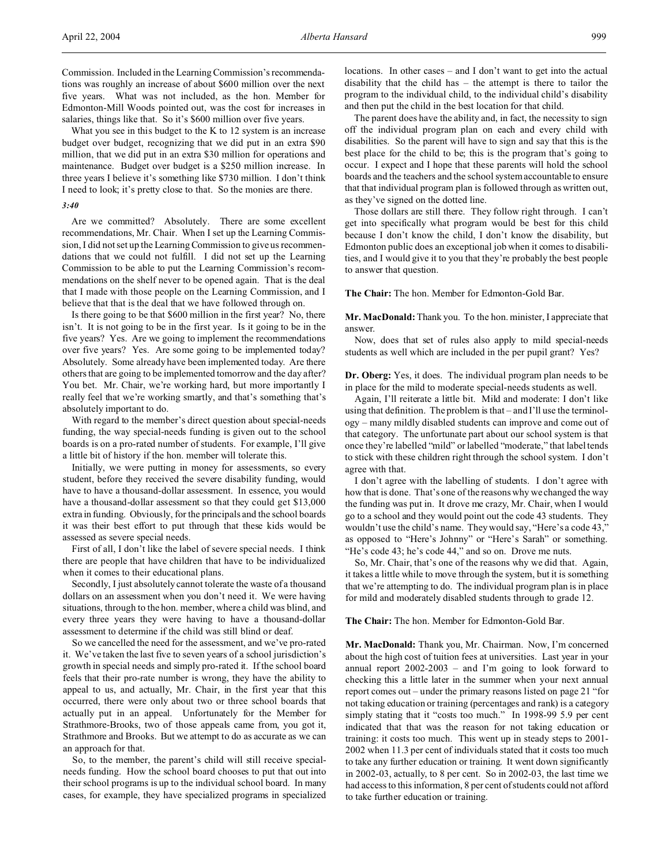What you see in this budget to the K to 12 system is an increase budget over budget, recognizing that we did put in an extra \$90 million, that we did put in an extra \$30 million for operations and maintenance. Budget over budget is a \$250 million increase. In three years I believe it's something like \$730 million. I don't think I need to look; it's pretty close to that. So the monies are there.

## *3:40*

Are we committed? Absolutely. There are some excellent recommendations, Mr. Chair. When I set up the Learning Commission, I did not set up the Learning Commission to give us recommendations that we could not fulfill. I did not set up the Learning Commission to be able to put the Learning Commission's recommendations on the shelf never to be opened again. That is the deal that I made with those people on the Learning Commission, and I believe that that is the deal that we have followed through on.

Is there going to be that \$600 million in the first year? No, there isn't. It is not going to be in the first year. Is it going to be in the five years? Yes. Are we going to implement the recommendations over five years? Yes. Are some going to be implemented today? Absolutely. Some already have been implemented today. Are there others that are going to be implemented tomorrow and the day after? You bet. Mr. Chair, we're working hard, but more importantly I really feel that we're working smartly, and that's something that's absolutely important to do.

With regard to the member's direct question about special-needs funding, the way special-needs funding is given out to the school boards is on a pro-rated number of students. For example, I'll give a little bit of history if the hon. member will tolerate this.

Initially, we were putting in money for assessments, so every student, before they received the severe disability funding, would have to have a thousand-dollar assessment. In essence, you would have a thousand-dollar assessment so that they could get \$13,000 extra in funding. Obviously, for the principals and the school boards it was their best effort to put through that these kids would be assessed as severe special needs.

First of all, I don't like the label of severe special needs. I think there are people that have children that have to be individualized when it comes to their educational plans.

Secondly, I just absolutely cannot tolerate the waste of a thousand dollars on an assessment when you don't need it. We were having situations, through to the hon. member, where a child was blind, and every three years they were having to have a thousand-dollar assessment to determine if the child was still blind or deaf.

So we cancelled the need for the assessment, and we've pro-rated it. We've taken the last five to seven years of a school jurisdiction's growth in special needs and simply pro-rated it. If the school board feels that their pro-rate number is wrong, they have the ability to appeal to us, and actually, Mr. Chair, in the first year that this occurred, there were only about two or three school boards that actually put in an appeal. Unfortunately for the Member for Strathmore-Brooks, two of those appeals came from, you got it, Strathmore and Brooks. But we attempt to do as accurate as we can an approach for that.

So, to the member, the parent's child will still receive specialneeds funding. How the school board chooses to put that out into their school programs is up to the individual school board. In many cases, for example, they have specialized programs in specialized locations. In other cases – and I don't want to get into the actual disability that the child has – the attempt is there to tailor the program to the individual child, to the individual child's disability and then put the child in the best location for that child.

The parent does have the ability and, in fact, the necessity to sign off the individual program plan on each and every child with disabilities. So the parent will have to sign and say that this is the best place for the child to be; this is the program that's going to occur. I expect and I hope that these parents will hold the school boards and the teachers and the school system accountable to ensure that that individual program plan is followed through as written out, as they've signed on the dotted line.

Those dollars are still there. They follow right through. I can't get into specifically what program would be best for this child because I don't know the child, I don't know the disability, but Edmonton public does an exceptional job when it comes to disabilities, and I would give it to you that they're probably the best people to answer that question.

**The Chair:** The hon. Member for Edmonton-Gold Bar.

**Mr. MacDonald:** Thank you. To the hon. minister, I appreciate that answer.

Now, does that set of rules also apply to mild special-needs students as well which are included in the per pupil grant? Yes?

**Dr. Oberg:** Yes, it does. The individual program plan needs to be in place for the mild to moderate special-needs students as well.

Again, I'll reiterate a little bit. Mild and moderate: I don't like using that definition. The problem is that – and I'll use the terminology – many mildly disabled students can improve and come out of that category. The unfortunate part about our school system is that once they're labelled "mild" or labelled "moderate," that label tends to stick with these children right through the school system. I don't agree with that.

I don't agree with the labelling of students. I don't agree with how that is done. That's one of the reasons why we changed the way the funding was put in. It drove me crazy, Mr. Chair, when I would go to a school and they would point out the code 43 students. They wouldn't use the child's name. They would say, "Here's a code 43," as opposed to "Here's Johnny" or "Here's Sarah" or something. "He's code 43; he's code 44," and so on. Drove me nuts.

So, Mr. Chair, that's one of the reasons why we did that. Again, it takes a little while to move through the system, but it is something that we're attempting to do. The individual program plan is in place for mild and moderately disabled students through to grade 12.

**The Chair:** The hon. Member for Edmonton-Gold Bar.

**Mr. MacDonald:** Thank you, Mr. Chairman. Now, I'm concerned about the high cost of tuition fees at universities. Last year in your annual report 2002-2003 – and I'm going to look forward to checking this a little later in the summer when your next annual report comes out – under the primary reasons listed on page 21 "for not taking education or training (percentages and rank) is a category simply stating that it "costs too much." In 1998-99 5.9 per cent indicated that that was the reason for not taking education or training: it costs too much. This went up in steady steps to 2001- 2002 when 11.3 per cent of individuals stated that it costs too much to take any further education or training. It went down significantly in 2002-03, actually, to 8 per cent. So in 2002-03, the last time we had access to this information, 8 per cent of students could not afford to take further education or training.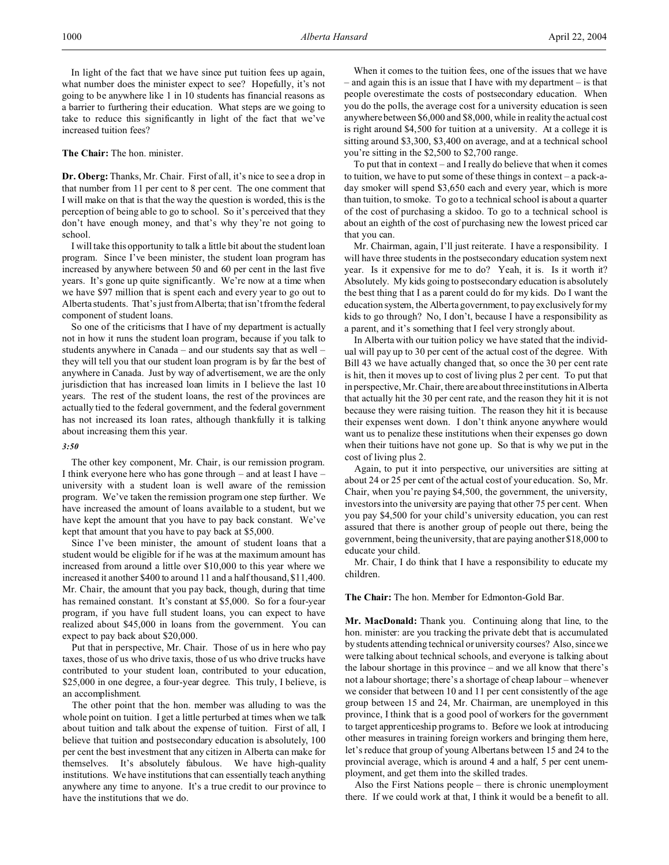In light of the fact that we have since put tuition fees up again, what number does the minister expect to see? Hopefully, it's not going to be anywhere like 1 in 10 students has financial reasons as a barrier to furthering their education. What steps are we going to take to reduce this significantly in light of the fact that we've increased tuition fees?

## **The Chair:** The hon. minister.

**Dr. Oberg:** Thanks, Mr. Chair. First of all, it's nice to see a drop in that number from 11 per cent to 8 per cent. The one comment that I will make on that is that the way the question is worded, this is the perception of being able to go to school. So it's perceived that they don't have enough money, and that's why they're not going to school.

I will take this opportunity to talk a little bit about the student loan program. Since I've been minister, the student loan program has increased by anywhere between 50 and 60 per cent in the last five years. It's gone up quite significantly. We're now at a time when we have \$97 million that is spent each and every year to go out to Alberta students. That's just from Alberta; that isn't from the federal component of student loans.

So one of the criticisms that I have of my department is actually not in how it runs the student loan program, because if you talk to students anywhere in Canada – and our students say that as well – they will tell you that our student loan program is by far the best of anywhere in Canada. Just by way of advertisement, we are the only jurisdiction that has increased loan limits in I believe the last 10 years. The rest of the student loans, the rest of the provinces are actually tied to the federal government, and the federal government has not increased its loan rates, although thankfully it is talking about increasing them this year.

#### *3:50*

The other key component, Mr. Chair, is our remission program. I think everyone here who has gone through – and at least I have – university with a student loan is well aware of the remission program. We've taken the remission program one step further. We have increased the amount of loans available to a student, but we have kept the amount that you have to pay back constant. We've kept that amount that you have to pay back at \$5,000.

Since I've been minister, the amount of student loans that a student would be eligible for if he was at the maximum amount has increased from around a little over \$10,000 to this year where we increased it another \$400 to around 11 and a half thousand, \$11,400. Mr. Chair, the amount that you pay back, though, during that time has remained constant. It's constant at \$5,000. So for a four-year program, if you have full student loans, you can expect to have realized about \$45,000 in loans from the government. You can expect to pay back about \$20,000.

Put that in perspective, Mr. Chair. Those of us in here who pay taxes, those of us who drive taxis, those of us who drive trucks have contributed to your student loan, contributed to your education, \$25,000 in one degree, a four-year degree. This truly, I believe, is an accomplishment.

The other point that the hon. member was alluding to was the whole point on tuition. I get a little perturbed at times when we talk about tuition and talk about the expense of tuition. First of all, I believe that tuition and postsecondary education is absolutely, 100 per cent the best investment that any citizen in Alberta can make for themselves. It's absolutely fabulous. We have high-quality institutions. We have institutions that can essentially teach anything anywhere any time to anyone. It's a true credit to our province to have the institutions that we do.

When it comes to the tuition fees, one of the issues that we have – and again this is an issue that I have with my department – is that people overestimate the costs of postsecondary education. When you do the polls, the average cost for a university education is seen anywhere between \$6,000 and \$8,000, while in reality the actual cost is right around \$4,500 for tuition at a university. At a college it is sitting around \$3,300, \$3,400 on average, and at a technical school you're sitting in the \$2,500 to \$2,700 range.

To put that in context – and I really do believe that when it comes to tuition, we have to put some of these things in context – a pack-aday smoker will spend \$3,650 each and every year, which is more than tuition, to smoke. To go to a technical school is about a quarter of the cost of purchasing a skidoo. To go to a technical school is about an eighth of the cost of purchasing new the lowest priced car that you can.

Mr. Chairman, again, I'll just reiterate. I have a responsibility. I will have three students in the postsecondary education system next year. Is it expensive for me to do? Yeah, it is. Is it worth it? Absolutely. My kids going to postsecondary education is absolutely the best thing that I as a parent could do for my kids. Do I want the education system, the Alberta government, to pay exclusively for my kids to go through? No, I don't, because I have a responsibility as a parent, and it's something that I feel very strongly about.

In Alberta with our tuition policy we have stated that the individual will pay up to 30 per cent of the actual cost of the degree. With Bill 43 we have actually changed that, so once the 30 per cent rate is hit, then it moves up to cost of living plus 2 per cent. To put that in perspective, Mr. Chair, there are about three institutions in Alberta that actually hit the 30 per cent rate, and the reason they hit it is not because they were raising tuition. The reason they hit it is because their expenses went down. I don't think anyone anywhere would want us to penalize these institutions when their expenses go down when their tuitions have not gone up. So that is why we put in the cost of living plus 2.

Again, to put it into perspective, our universities are sitting at about 24 or 25 per cent of the actual cost of your education. So, Mr. Chair, when you're paying \$4,500, the government, the university, investors into the university are paying that other 75 per cent. When you pay \$4,500 for your child's university education, you can rest assured that there is another group of people out there, being the government, being the university, that are paying another \$18,000 to educate your child.

Mr. Chair, I do think that I have a responsibility to educate my children.

#### **The Chair:** The hon. Member for Edmonton-Gold Bar.

**Mr. MacDonald:** Thank you. Continuing along that line, to the hon. minister: are you tracking the private debt that is accumulated by students attending technical or university courses? Also, since we were talking about technical schools, and everyone is talking about the labour shortage in this province – and we all know that there's not a labour shortage; there's a shortage of cheap labour – whenever we consider that between 10 and 11 per cent consistently of the age group between 15 and 24, Mr. Chairman, are unemployed in this province, I think that is a good pool of workers for the government to target apprenticeship programs to. Before we look at introducing other measures in training foreign workers and bringing them here, let's reduce that group of young Albertans between 15 and 24 to the provincial average, which is around 4 and a half, 5 per cent unemployment, and get them into the skilled trades.

Also the First Nations people – there is chronic unemployment there. If we could work at that, I think it would be a benefit to all.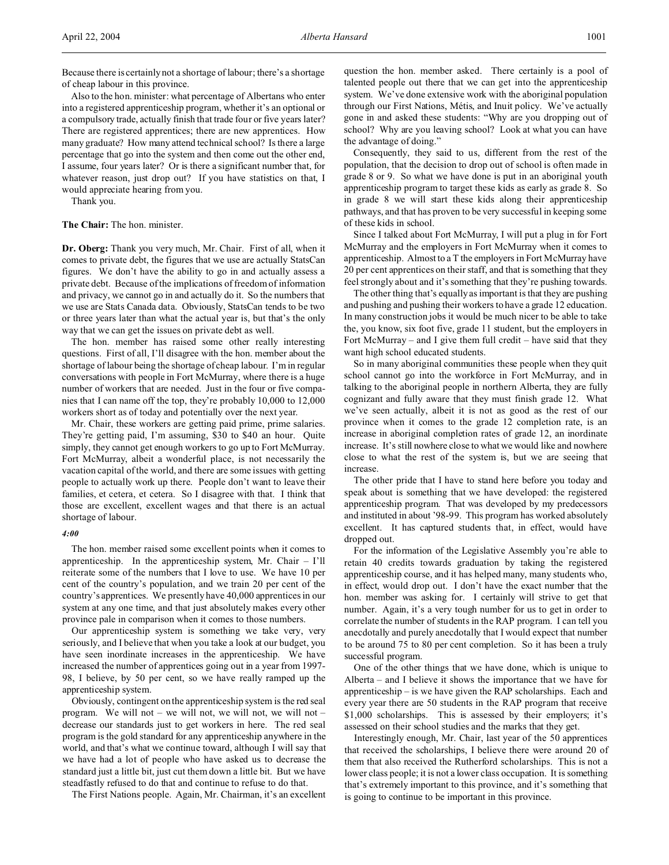Because there is certainly not a shortage of labour; there's a shortage of cheap labour in this province.

Also to the hon. minister: what percentage of Albertans who enter into a registered apprenticeship program, whether it's an optional or a compulsory trade, actually finish that trade four or five years later? There are registered apprentices; there are new apprentices. How many graduate? How many attend technical school? Is there a large percentage that go into the system and then come out the other end, I assume, four years later? Or is there a significant number that, for whatever reason, just drop out? If you have statistics on that, I would appreciate hearing from you.

Thank you.

**The Chair:** The hon. minister.

**Dr. Oberg:** Thank you very much, Mr. Chair. First of all, when it comes to private debt, the figures that we use are actually StatsCan figures. We don't have the ability to go in and actually assess a private debt. Because of the implications of freedom of information and privacy, we cannot go in and actually do it. So the numbers that we use are Stats Canada data. Obviously, StatsCan tends to be two or three years later than what the actual year is, but that's the only way that we can get the issues on private debt as well.

The hon. member has raised some other really interesting questions. First of all, I'll disagree with the hon. member about the shortage of labour being the shortage of cheap labour. I'm in regular conversations with people in Fort McMurray, where there is a huge number of workers that are needed. Just in the four or five companies that I can name off the top, they're probably 10,000 to 12,000 workers short as of today and potentially over the next year.

Mr. Chair, these workers are getting paid prime, prime salaries. They're getting paid, I'm assuming, \$30 to \$40 an hour. Quite simply, they cannot get enough workers to go up to Fort McMurray. Fort McMurray, albeit a wonderful place, is not necessarily the vacation capital of the world, and there are some issues with getting people to actually work up there. People don't want to leave their families, et cetera, et cetera. So I disagree with that. I think that those are excellent, excellent wages and that there is an actual shortage of labour.

## *4:00*

The hon. member raised some excellent points when it comes to apprenticeship. In the apprenticeship system, Mr. Chair – I'll reiterate some of the numbers that I love to use. We have 10 per cent of the country's population, and we train 20 per cent of the country's apprentices. We presently have 40,000 apprentices in our system at any one time, and that just absolutely makes every other province pale in comparison when it comes to those numbers.

Our apprenticeship system is something we take very, very seriously, and I believe that when you take a look at our budget, you have seen inordinate increases in the apprenticeship. We have increased the number of apprentices going out in a year from 1997- 98, I believe, by 50 per cent, so we have really ramped up the apprenticeship system.

Obviously, contingent on the apprenticeship system is the red seal program. We will not – we will not, we will not, we will not – decrease our standards just to get workers in here. The red seal program is the gold standard for any apprenticeship anywhere in the world, and that's what we continue toward, although I will say that we have had a lot of people who have asked us to decrease the standard just a little bit, just cut them down a little bit. But we have steadfastly refused to do that and continue to refuse to do that.

The First Nations people. Again, Mr. Chairman, it's an excellent

question the hon. member asked. There certainly is a pool of talented people out there that we can get into the apprenticeship system. We've done extensive work with the aboriginal population through our First Nations, Métis, and Inuit policy. We've actually gone in and asked these students: "Why are you dropping out of school? Why are you leaving school? Look at what you can have the advantage of doing."

Consequently, they said to us, different from the rest of the population, that the decision to drop out of school is often made in grade 8 or 9. So what we have done is put in an aboriginal youth apprenticeship program to target these kids as early as grade 8. So in grade 8 we will start these kids along their apprenticeship pathways, and that has proven to be very successful in keeping some of these kids in school.

Since I talked about Fort McMurray, I will put a plug in for Fort McMurray and the employers in Fort McMurray when it comes to apprenticeship. Almost to a T the employers in Fort McMurray have 20 per cent apprentices on their staff, and that is something that they feel strongly about and it's something that they're pushing towards.

The other thing that's equally as important is that they are pushing and pushing and pushing their workers to have a grade 12 education. In many construction jobs it would be much nicer to be able to take the, you know, six foot five, grade 11 student, but the employers in Fort McMurray – and I give them full credit – have said that they want high school educated students.

So in many aboriginal communities these people when they quit school cannot go into the workforce in Fort McMurray, and in talking to the aboriginal people in northern Alberta, they are fully cognizant and fully aware that they must finish grade 12. What we've seen actually, albeit it is not as good as the rest of our province when it comes to the grade 12 completion rate, is an increase in aboriginal completion rates of grade 12, an inordinate increase. It's still nowhere close to what we would like and nowhere close to what the rest of the system is, but we are seeing that increase.

The other pride that I have to stand here before you today and speak about is something that we have developed: the registered apprenticeship program. That was developed by my predecessors and instituted in about '98-99. This program has worked absolutely excellent. It has captured students that, in effect, would have dropped out.

For the information of the Legislative Assembly you're able to retain 40 credits towards graduation by taking the registered apprenticeship course, and it has helped many, many students who, in effect, would drop out. I don't have the exact number that the hon. member was asking for. I certainly will strive to get that number. Again, it's a very tough number for us to get in order to correlate the number of students in the RAP program. I can tell you anecdotally and purely anecdotally that I would expect that number to be around 75 to 80 per cent completion. So it has been a truly successful program.

One of the other things that we have done, which is unique to Alberta – and I believe it shows the importance that we have for apprenticeship – is we have given the RAP scholarships. Each and every year there are 50 students in the RAP program that receive \$1,000 scholarships. This is assessed by their employers; it's assessed on their school studies and the marks that they get.

Interestingly enough, Mr. Chair, last year of the 50 apprentices that received the scholarships, I believe there were around 20 of them that also received the Rutherford scholarships. This is not a lower class people; it is not a lower class occupation. It is something that's extremely important to this province, and it's something that is going to continue to be important in this province.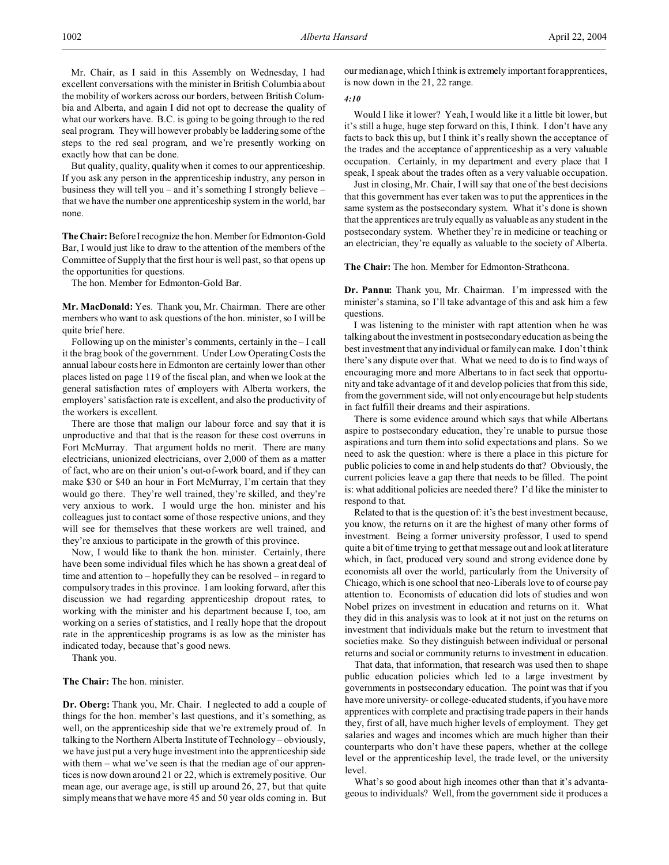Mr. Chair, as I said in this Assembly on Wednesday, I had excellent conversations with the minister in British Columbia about the mobility of workers across our borders, between British Columbia and Alberta, and again I did not opt to decrease the quality of what our workers have. B.C. is going to be going through to the red seal program. They will however probably be laddering some of the steps to the red seal program, and we're presently working on exactly how that can be done.

But quality, quality, quality when it comes to our apprenticeship. If you ask any person in the apprenticeship industry, any person in business they will tell you – and it's something I strongly believe – that we have the number one apprenticeship system in the world, bar none.

**The Chair:** Before I recognize the hon. Member for Edmonton-Gold Bar, I would just like to draw to the attention of the members of the Committee of Supply that the first hour is well past, so that opens up the opportunities for questions.

The hon. Member for Edmonton-Gold Bar.

**Mr. MacDonald:** Yes. Thank you, Mr. Chairman. There are other members who want to ask questions of the hon. minister, so I will be quite brief here.

Following up on the minister's comments, certainly in the – I call it the brag book of the government. Under Low Operating Costs the annual labour costs here in Edmonton are certainly lower than other places listed on page 119 of the fiscal plan, and when we look at the general satisfaction rates of employers with Alberta workers, the employers' satisfaction rate is excellent, and also the productivity of the workers is excellent.

There are those that malign our labour force and say that it is unproductive and that that is the reason for these cost overruns in Fort McMurray. That argument holds no merit. There are many electricians, unionized electricians, over 2,000 of them as a matter of fact, who are on their union's out-of-work board, and if they can make \$30 or \$40 an hour in Fort McMurray, I'm certain that they would go there. They're well trained, they're skilled, and they're very anxious to work. I would urge the hon. minister and his colleagues just to contact some of those respective unions, and they will see for themselves that these workers are well trained, and they're anxious to participate in the growth of this province.

Now, I would like to thank the hon. minister. Certainly, there have been some individual files which he has shown a great deal of time and attention to – hopefully they can be resolved – in regard to compulsory trades in this province. I am looking forward, after this discussion we had regarding apprenticeship dropout rates, to working with the minister and his department because I, too, am working on a series of statistics, and I really hope that the dropout rate in the apprenticeship programs is as low as the minister has indicated today, because that's good news.

Thank you.

**The Chair:** The hon. minister.

**Dr. Oberg:** Thank you, Mr. Chair. I neglected to add a couple of things for the hon. member's last questions, and it's something, as well, on the apprenticeship side that we're extremely proud of. In talking to the Northern Alberta Institute of Technology – obviously, we have just put a very huge investment into the apprenticeship side with them – what we've seen is that the median age of our apprentices is now down around 21 or 22, which is extremely positive. Our mean age, our average age, is still up around 26, 27, but that quite simply means that we have more 45 and 50 year olds coming in. But

our median age, which I think is extremely important for apprentices, is now down in the 21, 22 range.

# *4:10*

Would I like it lower? Yeah, I would like it a little bit lower, but it's still a huge, huge step forward on this, I think. I don't have any facts to back this up, but I think it's really shown the acceptance of the trades and the acceptance of apprenticeship as a very valuable occupation. Certainly, in my department and every place that I speak, I speak about the trades often as a very valuable occupation.

Just in closing, Mr. Chair, I will say that one of the best decisions that this government has ever taken was to put the apprentices in the same system as the postsecondary system. What it's done is shown that the apprentices are truly equally as valuable as any student in the postsecondary system. Whether they're in medicine or teaching or an electrician, they're equally as valuable to the society of Alberta.

**The Chair:** The hon. Member for Edmonton-Strathcona.

**Dr. Pannu:** Thank you, Mr. Chairman. I'm impressed with the minister's stamina, so I'll take advantage of this and ask him a few questions.

I was listening to the minister with rapt attention when he was talking about the investment in postsecondary education as being the best investment that any individual or family can make. I don't think there's any dispute over that. What we need to do is to find ways of encouraging more and more Albertans to in fact seek that opportunity and take advantage of it and develop policies that from this side, from the government side, will not only encourage but help students in fact fulfill their dreams and their aspirations.

There is some evidence around which says that while Albertans aspire to postsecondary education, they're unable to pursue those aspirations and turn them into solid expectations and plans. So we need to ask the question: where is there a place in this picture for public policies to come in and help students do that? Obviously, the current policies leave a gap there that needs to be filled. The point is: what additional policies are needed there? I'd like the minister to respond to that.

Related to that is the question of: it's the best investment because, you know, the returns on it are the highest of many other forms of investment. Being a former university professor, I used to spend quite a bit of time trying to get that message out and look at literature which, in fact, produced very sound and strong evidence done by economists all over the world, particularly from the University of Chicago, which is one school that neo-Liberals love to of course pay attention to. Economists of education did lots of studies and won Nobel prizes on investment in education and returns on it. What they did in this analysis was to look at it not just on the returns on investment that individuals make but the return to investment that societies make. So they distinguish between individual or personal returns and social or community returns to investment in education.

That data, that information, that research was used then to shape public education policies which led to a large investment by governments in postsecondary education. The point was that if you have more university- or college-educated students, if you have more apprentices with complete and practising trade papers in their hands they, first of all, have much higher levels of employment. They get salaries and wages and incomes which are much higher than their counterparts who don't have these papers, whether at the college level or the apprenticeship level, the trade level, or the university level.

What's so good about high incomes other than that it's advantageous to individuals? Well, from the government side it produces a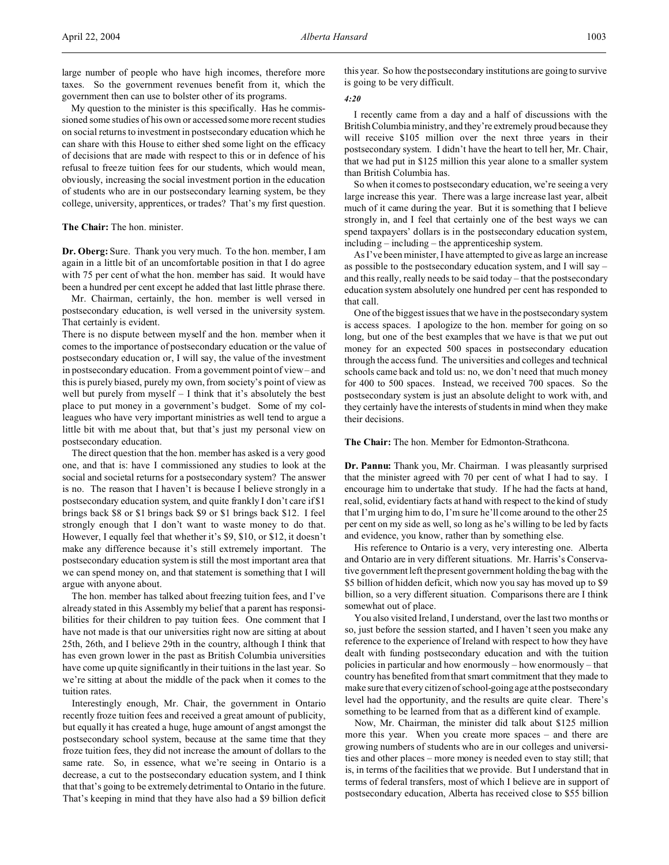My question to the minister is this specifically. Has he commissioned some studies of his own or accessed some more recent studies on social returns to investment in postsecondary education which he can share with this House to either shed some light on the efficacy of decisions that are made with respect to this or in defence of his refusal to freeze tuition fees for our students, which would mean, obviously, increasing the social investment portion in the education of students who are in our postsecondary learning system, be they college, university, apprentices, or trades? That's my first question.

**The Chair:** The hon. minister.

**Dr. Oberg:** Sure. Thank you very much. To the hon. member, I am again in a little bit of an uncomfortable position in that I do agree with 75 per cent of what the hon. member has said. It would have been a hundred per cent except he added that last little phrase there.

Mr. Chairman, certainly, the hon. member is well versed in postsecondary education, is well versed in the university system. That certainly is evident.

There is no dispute between myself and the hon. member when it comes to the importance of postsecondary education or the value of postsecondary education or, I will say, the value of the investment in postsecondary education. From a government point of view – and this is purely biased, purely my own, from society's point of view as well but purely from myself – I think that it's absolutely the best place to put money in a government's budget. Some of my colleagues who have very important ministries as well tend to argue a little bit with me about that, but that's just my personal view on postsecondary education.

The direct question that the hon. member has asked is a very good one, and that is: have I commissioned any studies to look at the social and societal returns for a postsecondary system? The answer is no. The reason that I haven't is because I believe strongly in a postsecondary education system, and quite frankly I don't care if \$1 brings back \$8 or \$1 brings back \$9 or \$1 brings back \$12. I feel strongly enough that I don't want to waste money to do that. However, I equally feel that whether it's \$9, \$10, or \$12, it doesn't make any difference because it's still extremely important. The postsecondary education system is still the most important area that we can spend money on, and that statement is something that I will argue with anyone about.

The hon. member has talked about freezing tuition fees, and I've already stated in this Assembly my belief that a parent has responsibilities for their children to pay tuition fees. One comment that I have not made is that our universities right now are sitting at about 25th, 26th, and I believe 29th in the country, although I think that has even grown lower in the past as British Columbia universities have come up quite significantly in their tuitions in the last year. So we're sitting at about the middle of the pack when it comes to the tuition rates.

Interestingly enough, Mr. Chair, the government in Ontario recently froze tuition fees and received a great amount of publicity, but equally it has created a huge, huge amount of angst amongst the postsecondary school system, because at the same time that they froze tuition fees, they did not increase the amount of dollars to the same rate. So, in essence, what we're seeing in Ontario is a decrease, a cut to the postsecondary education system, and I think that that's going to be extremely detrimental to Ontario in the future. That's keeping in mind that they have also had a \$9 billion deficit this year. So how the postsecondary institutions are going to survive is going to be very difficult.

# *4:20*

I recently came from a day and a half of discussions with the BritishColumbia ministry, and they're extremely proud because they will receive \$105 million over the next three years in their postsecondary system. I didn't have the heart to tell her, Mr. Chair, that we had put in \$125 million this year alone to a smaller system than British Columbia has.

So when it comes to postsecondary education, we're seeing a very large increase this year. There was a large increase last year, albeit much of it came during the year. But it is something that I believe strongly in, and I feel that certainly one of the best ways we can spend taxpayers' dollars is in the postsecondary education system, including – including – the apprenticeship system.

As I've been minister, I have attempted to give as large an increase as possible to the postsecondary education system, and I will say – and this really, really needs to be said today – that the postsecondary education system absolutely one hundred per cent has responded to that call.

One of the biggest issues that we have in the postsecondary system is access spaces. I apologize to the hon. member for going on so long, but one of the best examples that we have is that we put out money for an expected 500 spaces in postsecondary education through the access fund. The universities and colleges and technical schools came back and told us: no, we don't need that much money for 400 to 500 spaces. Instead, we received 700 spaces. So the postsecondary system is just an absolute delight to work with, and they certainly have the interests of students in mind when they make their decisions.

**The Chair:** The hon. Member for Edmonton-Strathcona.

**Dr. Pannu:** Thank you, Mr. Chairman. I was pleasantly surprised that the minister agreed with 70 per cent of what I had to say. I encourage him to undertake that study. If he had the facts at hand, real, solid, evidentiary facts at hand with respect to the kind of study that I'm urging him to do, I'm sure he'll come around to the other 25 per cent on my side as well, so long as he's willing to be led by facts and evidence, you know, rather than by something else.

His reference to Ontario is a very, very interesting one. Alberta and Ontario are in very different situations. Mr. Harris's Conservative government left the present government holding the bag with the \$5 billion of hidden deficit, which now you say has moved up to \$9 billion, so a very different situation. Comparisons there are I think somewhat out of place.

You also visited Ireland, I understand, over the last two months or so, just before the session started, and I haven't seen you make any reference to the experience of Ireland with respect to how they have dealt with funding postsecondary education and with the tuition policies in particular and how enormously – how enormously – that country has benefited from that smart commitment that they made to make sure that every citizen of school-going age at the postsecondary level had the opportunity, and the results are quite clear. There's something to be learned from that as a different kind of example.

Now, Mr. Chairman, the minister did talk about \$125 million more this year. When you create more spaces – and there are growing numbers of students who are in our colleges and universities and other places – more money is needed even to stay still; that is, in terms of the facilities that we provide. But I understand that in terms of federal transfers, most of which I believe are in support of postsecondary education, Alberta has received close to \$55 billion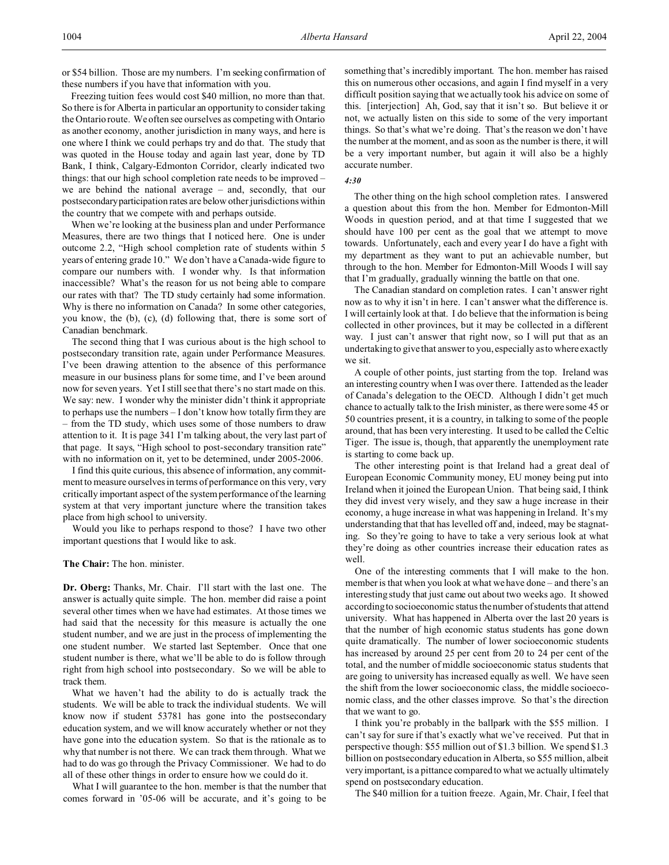or \$54 billion. Those are my numbers. I'm seeking confirmation of these numbers if you have that information with you.

Freezing tuition fees would cost \$40 million, no more than that. So there is for Alberta in particular an opportunity to consider taking the Ontario route. We often see ourselves as competing with Ontario as another economy, another jurisdiction in many ways, and here is one where I think we could perhaps try and do that. The study that was quoted in the House today and again last year, done by TD Bank, I think, Calgary-Edmonton Corridor, clearly indicated two things: that our high school completion rate needs to be improved – we are behind the national average – and, secondly, that our postsecondaryparticipation rates are below other jurisdictions within the country that we compete with and perhaps outside.

When we're looking at the business plan and under Performance Measures, there are two things that I noticed here. One is under outcome 2.2, "High school completion rate of students within 5 years of entering grade 10." We don't have a Canada-wide figure to compare our numbers with. I wonder why. Is that information inaccessible? What's the reason for us not being able to compare our rates with that? The TD study certainly had some information. Why is there no information on Canada? In some other categories, you know, the (b), (c), (d) following that, there is some sort of Canadian benchmark.

The second thing that I was curious about is the high school to postsecondary transition rate, again under Performance Measures. I've been drawing attention to the absence of this performance measure in our business plans for some time, and I've been around now for seven years. Yet I still see that there's no start made on this. We say: new. I wonder why the minister didn't think it appropriate to perhaps use the numbers – I don't know how totally firm they are – from the TD study, which uses some of those numbers to draw attention to it. It is page 341 I'm talking about, the very last part of that page. It says, "High school to post-secondary transition rate" with no information on it, yet to be determined, under 2005-2006.

I find this quite curious, this absence of information, any commitment to measure ourselves in terms of performance on this very, very critically important aspect of the system performance of the learning system at that very important juncture where the transition takes place from high school to university.

Would you like to perhaps respond to those? I have two other important questions that I would like to ask.

## **The Chair:** The hon. minister.

**Dr. Oberg:** Thanks, Mr. Chair. I'll start with the last one. The answer is actually quite simple. The hon. member did raise a point several other times when we have had estimates. At those times we had said that the necessity for this measure is actually the one student number, and we are just in the process of implementing the one student number. We started last September. Once that one student number is there, what we'll be able to do is follow through right from high school into postsecondary. So we will be able to track them.

What we haven't had the ability to do is actually track the students. We will be able to track the individual students. We will know now if student 53781 has gone into the postsecondary education system, and we will know accurately whether or not they have gone into the education system. So that is the rationale as to why that number is not there. We can track them through. What we had to do was go through the Privacy Commissioner. We had to do all of these other things in order to ensure how we could do it.

What I will guarantee to the hon. member is that the number that comes forward in '05-06 will be accurate, and it's going to be something that's incredibly important. The hon. member has raised this on numerous other occasions, and again I find myself in a very difficult position saying that we actually took his advice on some of this. [interjection] Ah, God, say that it isn't so. But believe it or not, we actually listen on this side to some of the very important things. So that's what we're doing. That's the reason we don't have the number at the moment, and as soon as the number is there, it will be a very important number, but again it will also be a highly accurate number.

# *4:30*

The other thing on the high school completion rates. I answered a question about this from the hon. Member for Edmonton-Mill Woods in question period, and at that time I suggested that we should have 100 per cent as the goal that we attempt to move towards. Unfortunately, each and every year I do have a fight with my department as they want to put an achievable number, but through to the hon. Member for Edmonton-Mill Woods I will say that I'm gradually, gradually winning the battle on that one.

The Canadian standard on completion rates. I can't answer right now as to why it isn't in here. I can't answer what the difference is. I will certainly look at that. I do believe that the information is being collected in other provinces, but it may be collected in a different way. I just can't answer that right now, so I will put that as an undertaking to give that answer to you, especially as to where exactly we sit.

A couple of other points, just starting from the top. Ireland was an interesting country when I was over there. I attended as the leader of Canada's delegation to the OECD. Although I didn't get much chance to actually talk to the Irish minister, as there were some 45 or 50 countries present, it is a country, in talking to some of the people around, that has been very interesting. It used to be called the Celtic Tiger. The issue is, though, that apparently the unemployment rate is starting to come back up.

The other interesting point is that Ireland had a great deal of European Economic Community money, EU money being put into Ireland when it joined the European Union. That being said, I think they did invest very wisely, and they saw a huge increase in their economy, a huge increase in what was happening in Ireland. It's my understanding that that has levelled off and, indeed, may be stagnating. So they're going to have to take a very serious look at what they're doing as other countries increase their education rates as well.

One of the interesting comments that I will make to the hon. member is that when you look at what we have done – and there's an interesting study that just came out about two weeks ago. It showed according to socioeconomic status the number of students that attend university. What has happened in Alberta over the last 20 years is that the number of high economic status students has gone down quite dramatically. The number of lower socioeconomic students has increased by around 25 per cent from 20 to 24 per cent of the total, and the number of middle socioeconomic status students that are going to university has increased equally as well. We have seen the shift from the lower socioeconomic class, the middle socioeconomic class, and the other classes improve. So that's the direction that we want to go.

I think you're probably in the ballpark with the \$55 million. I can't say for sure if that's exactly what we've received. Put that in perspective though: \$55 million out of \$1.3 billion. We spend \$1.3 billion on postsecondary education in Alberta, so \$55 million, albeit very important, is a pittance compared to what we actually ultimately spend on postsecondary education.

The \$40 million for a tuition freeze. Again, Mr. Chair, I feel that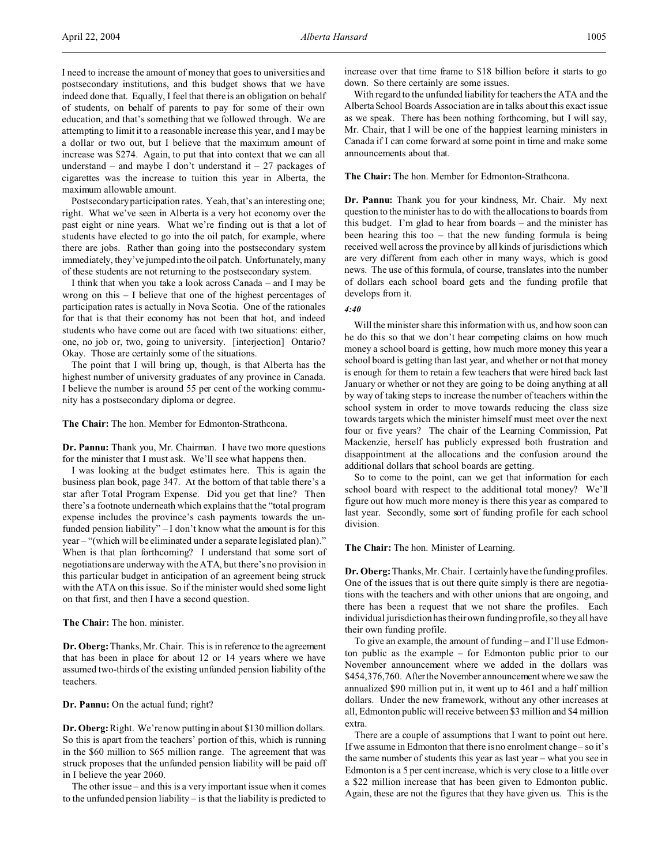I need to increase the amount of money that goes to universities and postsecondary institutions, and this budget shows that we have indeed done that. Equally, I feel that there is an obligation on behalf of students, on behalf of parents to pay for some of their own education, and that's something that we followed through. We are attempting to limit it to a reasonable increase this year, and I may be a dollar or two out, but I believe that the maximum amount of increase was \$274. Again, to put that into context that we can all understand – and maybe I don't understand it – 27 packages of cigarettes was the increase to tuition this year in Alberta, the maximum allowable amount.

Postsecondary participation rates. Yeah, that's an interesting one; right. What we've seen in Alberta is a very hot economy over the past eight or nine years. What we're finding out is that a lot of students have elected to go into the oil patch, for example, where there are jobs. Rather than going into the postsecondary system immediately, they've jumped into the oil patch. Unfortunately, many of these students are not returning to the postsecondary system.

I think that when you take a look across Canada – and I may be wrong on this – I believe that one of the highest percentages of participation rates is actually in Nova Scotia. One of the rationales for that is that their economy has not been that hot, and indeed students who have come out are faced with two situations: either, one, no job or, two, going to university. [interjection] Ontario? Okay. Those are certainly some of the situations.

The point that I will bring up, though, is that Alberta has the highest number of university graduates of any province in Canada. I believe the number is around 55 per cent of the working community has a postsecondary diploma or degree.

**The Chair:** The hon. Member for Edmonton-Strathcona.

**Dr. Pannu:** Thank you, Mr. Chairman. I have two more questions for the minister that I must ask. We'll see what happens then.

I was looking at the budget estimates here. This is again the business plan book, page 347. At the bottom of that table there's a star after Total Program Expense. Did you get that line? Then there's a footnote underneath which explains that the "total program expense includes the province's cash payments towards the unfunded pension liability" – I don't know what the amount is for this year – "(which will be eliminated under a separate legislated plan)." When is that plan forthcoming? I understand that some sort of negotiations are underway with the ATA, but there's no provision in this particular budget in anticipation of an agreement being struck with the ATA on this issue. So if the minister would shed some light on that first, and then I have a second question.

**The Chair:** The hon. minister.

**Dr. Oberg:**Thanks, Mr. Chair. This is in reference to the agreement that has been in place for about 12 or 14 years where we have assumed two-thirds of the existing unfunded pension liability of the teachers.

**Dr. Pannu:** On the actual fund; right?

**Dr. Oberg:**Right. We're now putting in about \$130 million dollars. So this is apart from the teachers' portion of this, which is running in the \$60 million to \$65 million range. The agreement that was struck proposes that the unfunded pension liability will be paid off in I believe the year 2060.

The other issue – and this is a very important issue when it comes to the unfunded pension liability – is that the liability is predicted to increase over that time frame to \$18 billion before it starts to go down. So there certainly are some issues.

With regard to the unfunded liability for teachers the ATA and the Alberta School Boards Association are in talks about this exact issue as we speak. There has been nothing forthcoming, but I will say, Mr. Chair, that I will be one of the happiest learning ministers in Canada if I can come forward at some point in time and make some announcements about that.

**The Chair:** The hon. Member for Edmonton-Strathcona.

**Dr. Pannu:** Thank you for your kindness, Mr. Chair. My next question to the minister has to do with the allocations to boards from this budget. I'm glad to hear from boards – and the minister has been hearing this too – that the new funding formula is being received well across the province by all kinds of jurisdictions which are very different from each other in many ways, which is good news. The use of this formula, of course, translates into the number of dollars each school board gets and the funding profile that develops from it.

#### *4:40*

Will the minister share this information with us, and how soon can he do this so that we don't hear competing claims on how much money a school board is getting, how much more money this year a school board is getting than last year, and whether or not that money is enough for them to retain a few teachers that were hired back last January or whether or not they are going to be doing anything at all by way of taking steps to increase the number of teachers within the school system in order to move towards reducing the class size towards targets which the minister himself must meet over the next four or five years? The chair of the Learning Commission, Pat Mackenzie, herself has publicly expressed both frustration and disappointment at the allocations and the confusion around the additional dollars that school boards are getting.

So to come to the point, can we get that information for each school board with respect to the additional total money? We'll figure out how much more money is there this year as compared to last year. Secondly, some sort of funding profile for each school division.

**The Chair:** The hon. Minister of Learning.

**Dr. Oberg:**Thanks, Mr. Chair. I certainly have the funding profiles. One of the issues that is out there quite simply is there are negotiations with the teachers and with other unions that are ongoing, and there has been a request that we not share the profiles. Each individual jurisdiction has their own funding profile, so they all have their own funding profile.

To give an example, the amount of funding – and I'll use Edmonton public as the example – for Edmonton public prior to our November announcement where we added in the dollars was \$454,376,760. After the November announcement where we saw the annualized \$90 million put in, it went up to 461 and a half million dollars. Under the new framework, without any other increases at all, Edmonton public will receive between \$3 million and \$4 million extra.

There are a couple of assumptions that I want to point out here. If we assume in Edmonton that there is no enrolment change – so it's the same number of students this year as last year – what you see in Edmonton is a 5 per cent increase, which is very close to a little over a \$22 million increase that has been given to Edmonton public. Again, these are not the figures that they have given us. This is the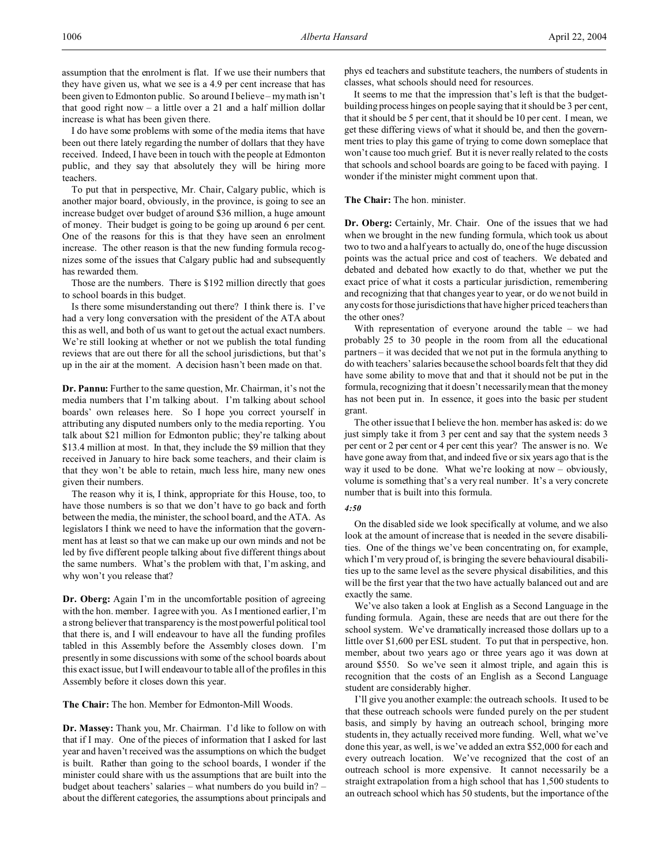assumption that the enrolment is flat. If we use their numbers that they have given us, what we see is a 4.9 per cent increase that has been given to Edmonton public. So around I believe – my math isn't that good right now – a little over a 21 and a half million dollar increase is what has been given there.

I do have some problems with some of the media items that have been out there lately regarding the number of dollars that they have received. Indeed, I have been in touch with the people at Edmonton public, and they say that absolutely they will be hiring more teachers.

To put that in perspective, Mr. Chair, Calgary public, which is another major board, obviously, in the province, is going to see an increase budget over budget of around \$36 million, a huge amount of money. Their budget is going to be going up around 6 per cent. One of the reasons for this is that they have seen an enrolment increase. The other reason is that the new funding formula recognizes some of the issues that Calgary public had and subsequently has rewarded them.

Those are the numbers. There is \$192 million directly that goes to school boards in this budget.

Is there some misunderstanding out there? I think there is. I've had a very long conversation with the president of the ATA about this as well, and both of us want to get out the actual exact numbers. We're still looking at whether or not we publish the total funding reviews that are out there for all the school jurisdictions, but that's up in the air at the moment. A decision hasn't been made on that.

**Dr. Pannu:** Further to the same question, Mr. Chairman, it's not the media numbers that I'm talking about. I'm talking about school boards' own releases here. So I hope you correct yourself in attributing any disputed numbers only to the media reporting. You talk about \$21 million for Edmonton public; they're talking about \$13.4 million at most. In that, they include the \$9 million that they received in January to hire back some teachers, and their claim is that they won't be able to retain, much less hire, many new ones given their numbers.

The reason why it is, I think, appropriate for this House, too, to have those numbers is so that we don't have to go back and forth between the media, the minister, the school board, and the ATA. As legislators I think we need to have the information that the government has at least so that we can make up our own minds and not be led by five different people talking about five different things about the same numbers. What's the problem with that, I'm asking, and why won't you release that?

**Dr. Oberg:** Again I'm in the uncomfortable position of agreeing with the hon. member. I agree with you. As I mentioned earlier, I'm a strong believer that transparency is the most powerful political tool that there is, and I will endeavour to have all the funding profiles tabled in this Assembly before the Assembly closes down. I'm presently in some discussions with some of the school boards about this exact issue, but I will endeavour to table all of the profiles in this Assembly before it closes down this year.

**The Chair:** The hon. Member for Edmonton-Mill Woods.

**Dr. Massey:** Thank you, Mr. Chairman. I'd like to follow on with that if I may. One of the pieces of information that I asked for last year and haven't received was the assumptions on which the budget is built. Rather than going to the school boards, I wonder if the minister could share with us the assumptions that are built into the budget about teachers' salaries – what numbers do you build in? – about the different categories, the assumptions about principals and

phys ed teachers and substitute teachers, the numbers of students in classes, what schools should need for resources.

It seems to me that the impression that's left is that the budgetbuilding process hinges on people saying that it should be 3 per cent, that it should be 5 per cent, that it should be 10 per cent. I mean, we get these differing views of what it should be, and then the government tries to play this game of trying to come down someplace that won't cause too much grief. But it is never really related to the costs that schools and school boards are going to be faced with paying. I wonder if the minister might comment upon that.

#### **The Chair:** The hon. minister.

**Dr. Oberg:** Certainly, Mr. Chair. One of the issues that we had when we brought in the new funding formula, which took us about two to two and a half years to actually do, one of the huge discussion points was the actual price and cost of teachers. We debated and debated and debated how exactly to do that, whether we put the exact price of what it costs a particular jurisdiction, remembering and recognizing that that changes year to year, or do we not build in any costs for those jurisdictions that have higher priced teachers than the other ones?

With representation of everyone around the table – we had probably 25 to 30 people in the room from all the educational partners – it was decided that we not put in the formula anything to do with teachers' salaries because the school boards felt that they did have some ability to move that and that it should not be put in the formula, recognizing that it doesn't necessarily mean that the money has not been put in. In essence, it goes into the basic per student grant.

The other issue that I believe the hon. member has asked is: do we just simply take it from 3 per cent and say that the system needs 3 per cent or 2 per cent or 4 per cent this year? The answer is no. We have gone away from that, and indeed five or six years ago that is the way it used to be done. What we're looking at now – obviously, volume is something that's a very real number. It's a very concrete number that is built into this formula.

#### *4:50*

On the disabled side we look specifically at volume, and we also look at the amount of increase that is needed in the severe disabilities. One of the things we've been concentrating on, for example, which I'm very proud of, is bringing the severe behavioural disabilities up to the same level as the severe physical disabilities, and this will be the first year that the two have actually balanced out and are exactly the same.

We've also taken a look at English as a Second Language in the funding formula. Again, these are needs that are out there for the school system. We've dramatically increased those dollars up to a little over \$1,600 per ESL student. To put that in perspective, hon. member, about two years ago or three years ago it was down at around \$550. So we've seen it almost triple, and again this is recognition that the costs of an English as a Second Language student are considerably higher.

I'll give you another example: the outreach schools. It used to be that these outreach schools were funded purely on the per student basis, and simply by having an outreach school, bringing more students in, they actually received more funding. Well, what we've done this year, as well, is we've added an extra \$52,000 for each and every outreach location. We've recognized that the cost of an outreach school is more expensive. It cannot necessarily be a straight extrapolation from a high school that has 1,500 students to an outreach school which has 50 students, but the importance of the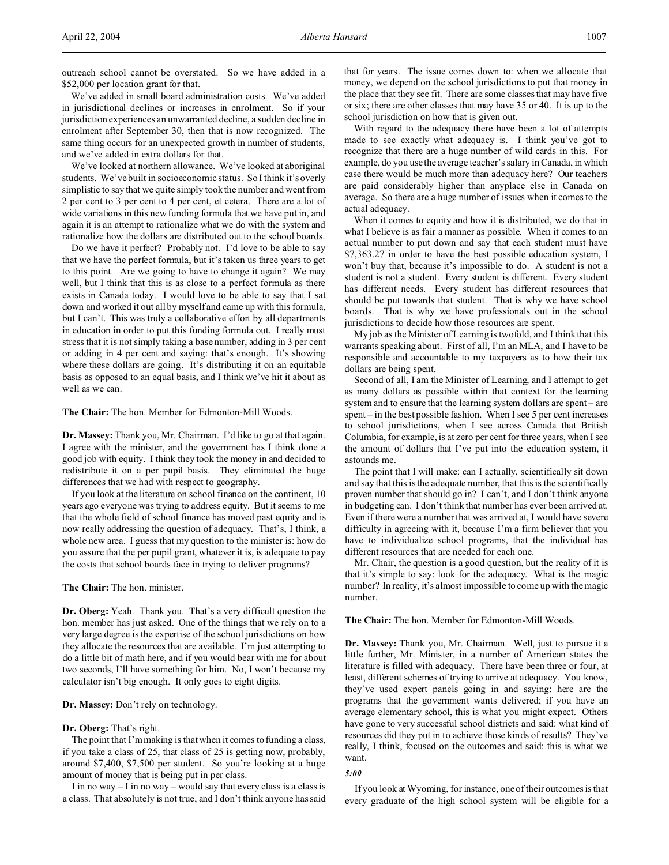outreach school cannot be overstated. So we have added in a \$52,000 per location grant for that.

We've added in small board administration costs. We've added in jurisdictional declines or increases in enrolment. So if your jurisdiction experiences an unwarranted decline, a sudden decline in enrolment after September 30, then that is now recognized. The same thing occurs for an unexpected growth in number of students, and we've added in extra dollars for that.

We've looked at northern allowance. We've looked at aboriginal students. We've built in socioeconomic status. So I think it's overly simplistic to say that we quite simply took the number and went from 2 per cent to 3 per cent to 4 per cent, et cetera. There are a lot of wide variations in this new funding formula that we have put in, and again it is an attempt to rationalize what we do with the system and rationalize how the dollars are distributed out to the school boards.

Do we have it perfect? Probably not. I'd love to be able to say that we have the perfect formula, but it's taken us three years to get to this point. Are we going to have to change it again? We may well, but I think that this is as close to a perfect formula as there exists in Canada today. I would love to be able to say that I sat down and worked it out all by myself and came up with this formula, but I can't. This was truly a collaborative effort by all departments in education in order to put this funding formula out. I really must stress that it is not simply taking a base number, adding in 3 per cent or adding in 4 per cent and saying: that's enough. It's showing where these dollars are going. It's distributing it on an equitable basis as opposed to an equal basis, and I think we've hit it about as well as we can.

**The Chair:** The hon. Member for Edmonton-Mill Woods.

**Dr. Massey:** Thank you, Mr. Chairman. I'd like to go at that again. I agree with the minister, and the government has I think done a good job with equity. I think they took the money in and decided to redistribute it on a per pupil basis. They eliminated the huge differences that we had with respect to geography.

If you look at the literature on school finance on the continent, 10 years ago everyone was trying to address equity. But it seems to me that the whole field of school finance has moved past equity and is now really addressing the question of adequacy. That's, I think, a whole new area. I guess that my question to the minister is: how do you assure that the per pupil grant, whatever it is, is adequate to pay the costs that school boards face in trying to deliver programs?

**The Chair:** The hon. minister.

**Dr. Oberg:** Yeah. Thank you. That's a very difficult question the hon. member has just asked. One of the things that we rely on to a very large degree is the expertise of the school jurisdictions on how they allocate the resources that are available. I'm just attempting to do a little bit of math here, and if you would bear with me for about two seconds, I'll have something for him. No, I won't because my calculator isn't big enough. It only goes to eight digits.

# **Dr. Massey:** Don't rely on technology.

#### **Dr. Oberg:** That's right.

The point that I'm making is that when it comes to funding a class, if you take a class of 25, that class of 25 is getting now, probably, around \$7,400, \$7,500 per student. So you're looking at a huge amount of money that is being put in per class.

I in no way  $-$  I in no way – would say that every class is a class is a class. That absolutely is not true, and I don't think anyone has said that for years. The issue comes down to: when we allocate that money, we depend on the school jurisdictions to put that money in the place that they see fit. There are some classes that may have five or six; there are other classes that may have 35 or 40. It is up to the school jurisdiction on how that is given out.

With regard to the adequacy there have been a lot of attempts made to see exactly what adequacy is. I think you've got to recognize that there are a huge number of wild cards in this. For example, do you use the average teacher's salary in Canada, in which case there would be much more than adequacy here? Our teachers are paid considerably higher than anyplace else in Canada on average. So there are a huge number of issues when it comes to the actual adequacy.

When it comes to equity and how it is distributed, we do that in what I believe is as fair a manner as possible. When it comes to an actual number to put down and say that each student must have \$7,363.27 in order to have the best possible education system, I won't buy that, because it's impossible to do. A student is not a student is not a student. Every student is different. Every student has different needs. Every student has different resources that should be put towards that student. That is why we have school boards. That is why we have professionals out in the school jurisdictions to decide how those resources are spent.

My job as the Minister of Learning is twofold, and I think that this warrants speaking about. First of all, I'm an MLA, and I have to be responsible and accountable to my taxpayers as to how their tax dollars are being spent.

Second of all, I am the Minister of Learning, and I attempt to get as many dollars as possible within that context for the learning system and to ensure that the learning system dollars are spent – are spent – in the best possible fashion. When I see 5 per cent increases to school jurisdictions, when I see across Canada that British Columbia, for example, is at zero per cent for three years, when I see the amount of dollars that I've put into the education system, it astounds me.

The point that I will make: can I actually, scientifically sit down and say that this is the adequate number, that this is the scientifically proven number that should go in? I can't, and I don't think anyone in budgeting can. I don't think that number has ever been arrived at. Even if there were a number that was arrived at, I would have severe difficulty in agreeing with it, because I'm a firm believer that you have to individualize school programs, that the individual has different resources that are needed for each one.

Mr. Chair, the question is a good question, but the reality of it is that it's simple to say: look for the adequacy. What is the magic number? In reality, it's almost impossible to come up with the magic number.

**The Chair:** The hon. Member for Edmonton-Mill Woods.

**Dr. Massey:** Thank you, Mr. Chairman. Well, just to pursue it a little further, Mr. Minister, in a number of American states the literature is filled with adequacy. There have been three or four, at least, different schemes of trying to arrive at adequacy. You know, they've used expert panels going in and saying: here are the programs that the government wants delivered; if you have an average elementary school, this is what you might expect. Others have gone to very successful school districts and said: what kind of resources did they put in to achieve those kinds of results? They've really, I think, focused on the outcomes and said: this is what we want.

## *5:00*

If you look at Wyoming, for instance, one of their outcomes is that every graduate of the high school system will be eligible for a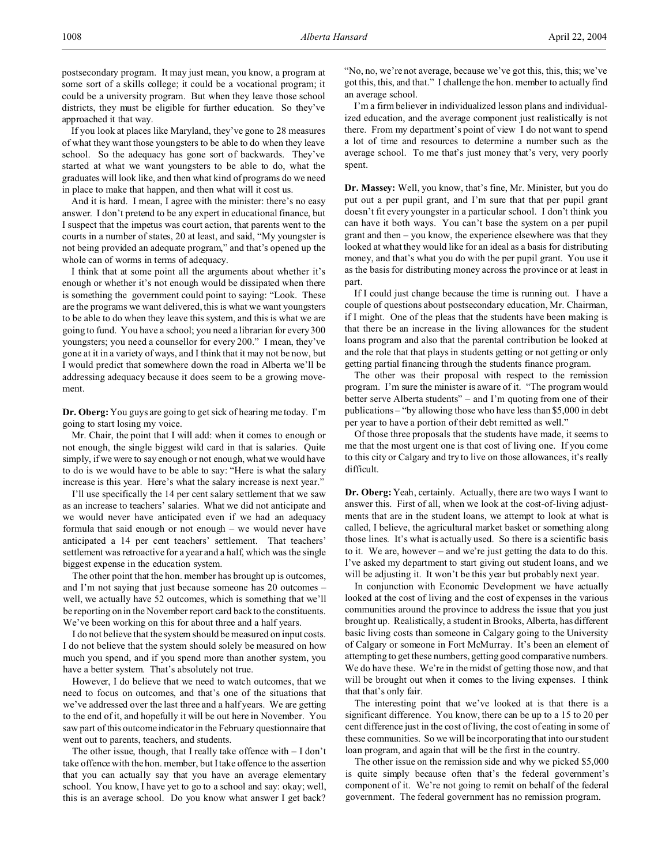postsecondary program. It may just mean, you know, a program at some sort of a skills college; it could be a vocational program; it could be a university program. But when they leave those school districts, they must be eligible for further education. So they've approached it that way.

If you look at places like Maryland, they've gone to 28 measures of what they want those youngsters to be able to do when they leave school. So the adequacy has gone sort of backwards. They've started at what we want youngsters to be able to do, what the graduates will look like, and then what kind of programs do we need in place to make that happen, and then what will it cost us.

And it is hard. I mean, I agree with the minister: there's no easy answer. I don't pretend to be any expert in educational finance, but I suspect that the impetus was court action, that parents went to the courts in a number of states, 20 at least, and said, "My youngster is not being provided an adequate program," and that's opened up the whole can of worms in terms of adequacy.

I think that at some point all the arguments about whether it's enough or whether it's not enough would be dissipated when there is something the government could point to saying: "Look. These are the programs we want delivered, this is what we want youngsters to be able to do when they leave this system, and this is what we are going to fund. You have a school; you need a librarian for every 300 youngsters; you need a counsellor for every 200." I mean, they've gone at it in a variety of ways, and I think that it may not be now, but I would predict that somewhere down the road in Alberta we'll be addressing adequacy because it does seem to be a growing movement.

**Dr. Oberg:** You guys are going to get sick of hearing me today. I'm going to start losing my voice.

Mr. Chair, the point that I will add: when it comes to enough or not enough, the single biggest wild card in that is salaries. Quite simply, if we were to say enough or not enough, what we would have to do is we would have to be able to say: "Here is what the salary increase is this year. Here's what the salary increase is next year."

I'll use specifically the 14 per cent salary settlement that we saw as an increase to teachers' salaries. What we did not anticipate and we would never have anticipated even if we had an adequacy formula that said enough or not enough – we would never have anticipated a 14 per cent teachers' settlement. That teachers' settlement was retroactive for a year and a half, which was the single biggest expense in the education system.

The other point that the hon. member has brought up is outcomes, and I'm not saying that just because someone has 20 outcomes – well, we actually have 52 outcomes, which is something that we'll be reporting on in the November report card back to the constituents. We've been working on this for about three and a half years.

I do not believe that the system should be measured on input costs. I do not believe that the system should solely be measured on how much you spend, and if you spend more than another system, you have a better system. That's absolutely not true.

However, I do believe that we need to watch outcomes, that we need to focus on outcomes, and that's one of the situations that we've addressed over the last three and a half years. We are getting to the end of it, and hopefully it will be out here in November. You saw part of this outcome indicator in the February questionnaire that went out to parents, teachers, and students.

The other issue, though, that I really take offence with – I don't take offence with the hon. member, but I take offence to the assertion that you can actually say that you have an average elementary school. You know, I have yet to go to a school and say: okay; well, this is an average school. Do you know what answer I get back?

"No, no, we're not average, because we've got this, this, this; we've got this, this, and that." I challenge the hon. member to actually find an average school.

I'm a firm believer in individualized lesson plans and individualized education, and the average component just realistically is not there. From my department's point of view I do not want to spend a lot of time and resources to determine a number such as the average school. To me that's just money that's very, very poorly spent.

**Dr. Massey:** Well, you know, that's fine, Mr. Minister, but you do put out a per pupil grant, and I'm sure that that per pupil grant doesn't fit every youngster in a particular school. I don't think you can have it both ways. You can't base the system on a per pupil grant and then – you know, the experience elsewhere was that they looked at what they would like for an ideal as a basis for distributing money, and that's what you do with the per pupil grant. You use it as the basis for distributing money across the province or at least in part.

If I could just change because the time is running out. I have a couple of questions about postsecondary education, Mr. Chairman, if I might. One of the pleas that the students have been making is that there be an increase in the living allowances for the student loans program and also that the parental contribution be looked at and the role that that plays in students getting or not getting or only getting partial financing through the students finance program.

The other was their proposal with respect to the remission program. I'm sure the minister is aware of it. "The program would better serve Alberta students" – and I'm quoting from one of their publications – "by allowing those who have less than \$5,000 in debt per year to have a portion of their debt remitted as well."

Of those three proposals that the students have made, it seems to me that the most urgent one is that cost of living one. If you come to this city or Calgary and try to live on those allowances, it's really difficult.

**Dr. Oberg:** Yeah, certainly. Actually, there are two ways I want to answer this. First of all, when we look at the cost-of-living adjustments that are in the student loans, we attempt to look at what is called, I believe, the agricultural market basket or something along those lines. It's what is actually used. So there is a scientific basis to it. We are, however – and we're just getting the data to do this. I've asked my department to start giving out student loans, and we will be adjusting it. It won't be this year but probably next year.

In conjunction with Economic Development we have actually looked at the cost of living and the cost of expenses in the various communities around the province to address the issue that you just brought up. Realistically, a student in Brooks, Alberta, has different basic living costs than someone in Calgary going to the University of Calgary or someone in Fort McMurray. It's been an element of attempting to get these numbers, getting good comparative numbers. We do have these. We're in the midst of getting those now, and that will be brought out when it comes to the living expenses. I think that that's only fair.

The interesting point that we've looked at is that there is a significant difference. You know, there can be up to a 15 to 20 per cent difference just in the cost of living, the cost of eating in some of these communities. So we will be incorporating that into our student loan program, and again that will be the first in the country.

The other issue on the remission side and why we picked \$5,000 is quite simply because often that's the federal government's component of it. We're not going to remit on behalf of the federal government. The federal government has no remission program.